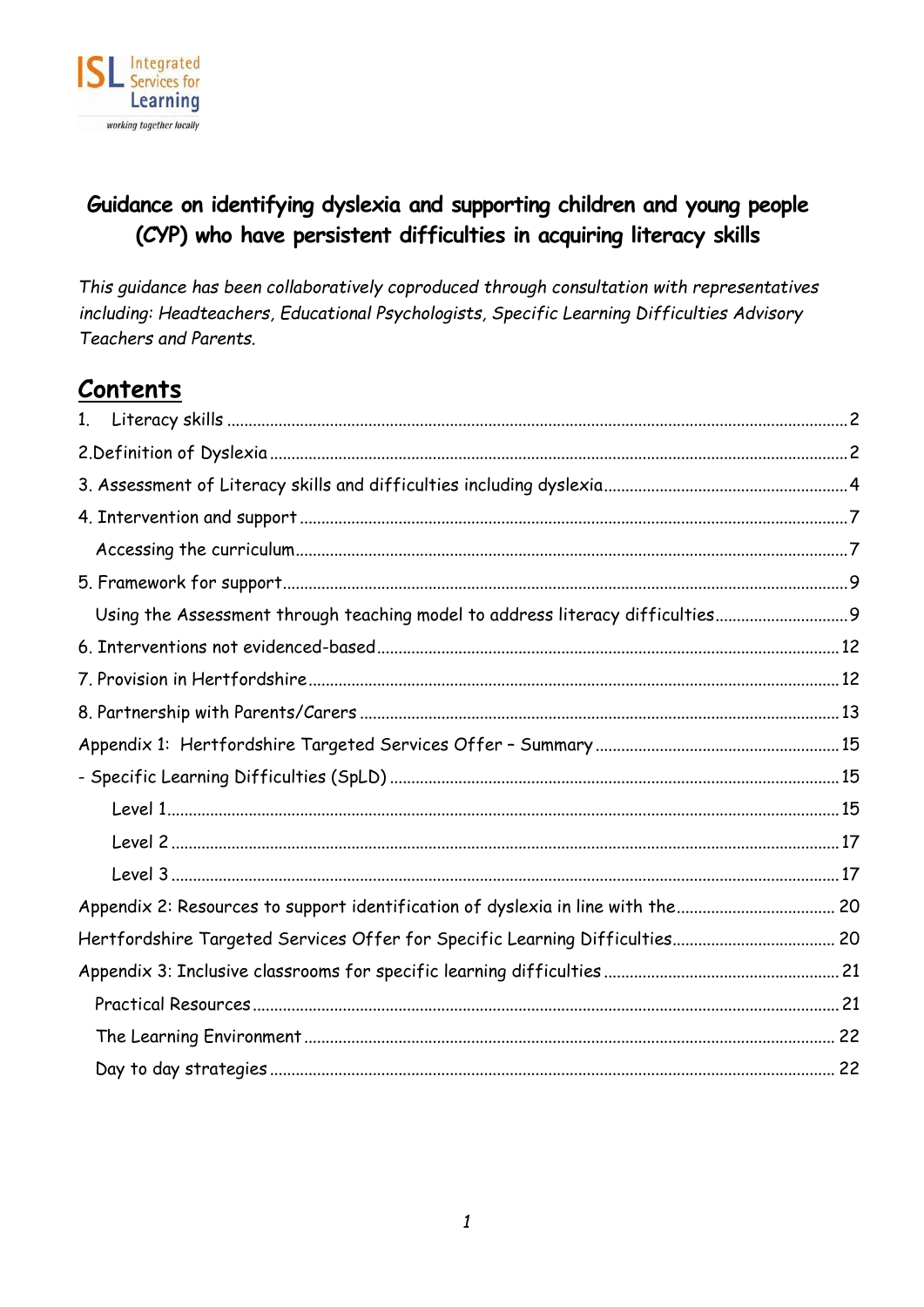

# **Guidance on identifying dyslexia and supporting children and young people (CYP) who have persistent difficulties in acquiring literacy skills**

*This guidance has been collaboratively coproduced through consultation with representatives including: Headteachers, Educational Psychologists, Specific Learning Difficulties Advisory Teachers and Parents.*

# **Contents**

| 1 <sub>1</sub>                                                                |  |
|-------------------------------------------------------------------------------|--|
|                                                                               |  |
|                                                                               |  |
|                                                                               |  |
|                                                                               |  |
|                                                                               |  |
| Using the Assessment through teaching model to address literacy difficulties9 |  |
|                                                                               |  |
|                                                                               |  |
|                                                                               |  |
|                                                                               |  |
|                                                                               |  |
|                                                                               |  |
|                                                                               |  |
|                                                                               |  |
|                                                                               |  |
| Hertfordshire Targeted Services Offer for Specific Learning Difficulties 20   |  |
|                                                                               |  |
|                                                                               |  |
|                                                                               |  |
|                                                                               |  |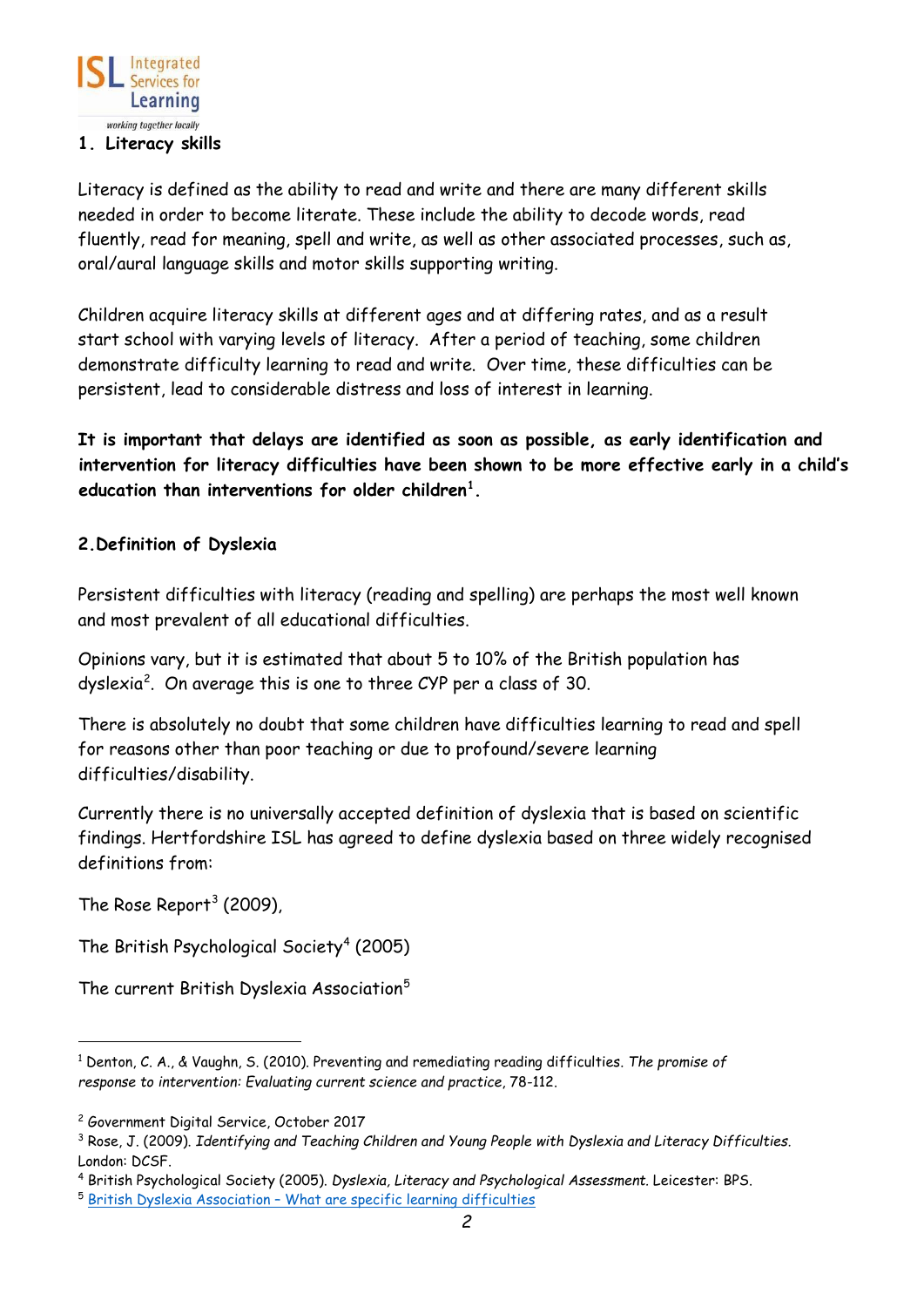

#### <span id="page-1-0"></span>**1. Literacy skills**

Literacy is defined as the ability to read and write and there are many different skills needed in order to become literate. These include the ability to decode words, read fluently, read for meaning, spell and write, as well as other associated processes, such as, oral/aural language skills and motor skills supporting writing.

Children acquire literacy skills at different ages and at differing rates, and as a result start school with varying levels of literacy. After a period of teaching, some children demonstrate difficulty learning to read and write. Over time, these difficulties can be persistent, lead to considerable distress and loss of interest in learning.

**It is important that delays are identified as soon as possible, as early identification and intervention for literacy difficulties have been shown to be more effective early in a child's education than interventions for older children[1](#page-1-2) .** 

### <span id="page-1-1"></span>**2.Definition of Dyslexia**

Persistent difficulties with literacy (reading and spelling) are perhaps the most well known and most prevalent of all educational difficulties.

Opinions vary, but it is estimated that about 5 to 10% of the British population has dyslexia<sup>[2](#page-1-3)</sup>. On average this is one to three CYP per a class of 30.

There is absolutely no doubt that some children have difficulties learning to read and spell for reasons other than poor teaching or due to profound/severe learning difficulties/disability.

Currently there is no universally accepted definition of dyslexia that is based on scientific findings. Hertfordshire ISL has agreed to define dyslexia based on three widely recognised definitions from:

The Rose Report<sup>[3](#page-1-4)</sup> (2009),

The British Psychological Society<sup>[4](#page-1-5)</sup> (2005)

The current British Dyslexia Association<sup>[5](#page-1-6)</sup>

<span id="page-1-2"></span><sup>1</sup> Denton, C. A., & Vaughn, S. (2010). Preventing and remediating reading difficulties. *The promise of response to intervention: Evaluating current science and practice*, 78-112.

<span id="page-1-3"></span><sup>2</sup> Government Digital Service, October 2017

<span id="page-1-4"></span><sup>3</sup> Rose, J. (2009). *Identifying and Teaching Children and Young People with Dyslexia and Literacy Difficulties.* London: DCSF.

<span id="page-1-5"></span><sup>4</sup> British Psychological Society (2005). *Dyslexia, Literacy and Psychological Assessment.* Leicester: BPS.

<span id="page-1-6"></span><sup>5</sup> British Dyslexia Association – [What are specific learning difficulties](https://www.bdadyslexia.org.uk/educator/what-arespecific-learning-difficulties#Dyslexia)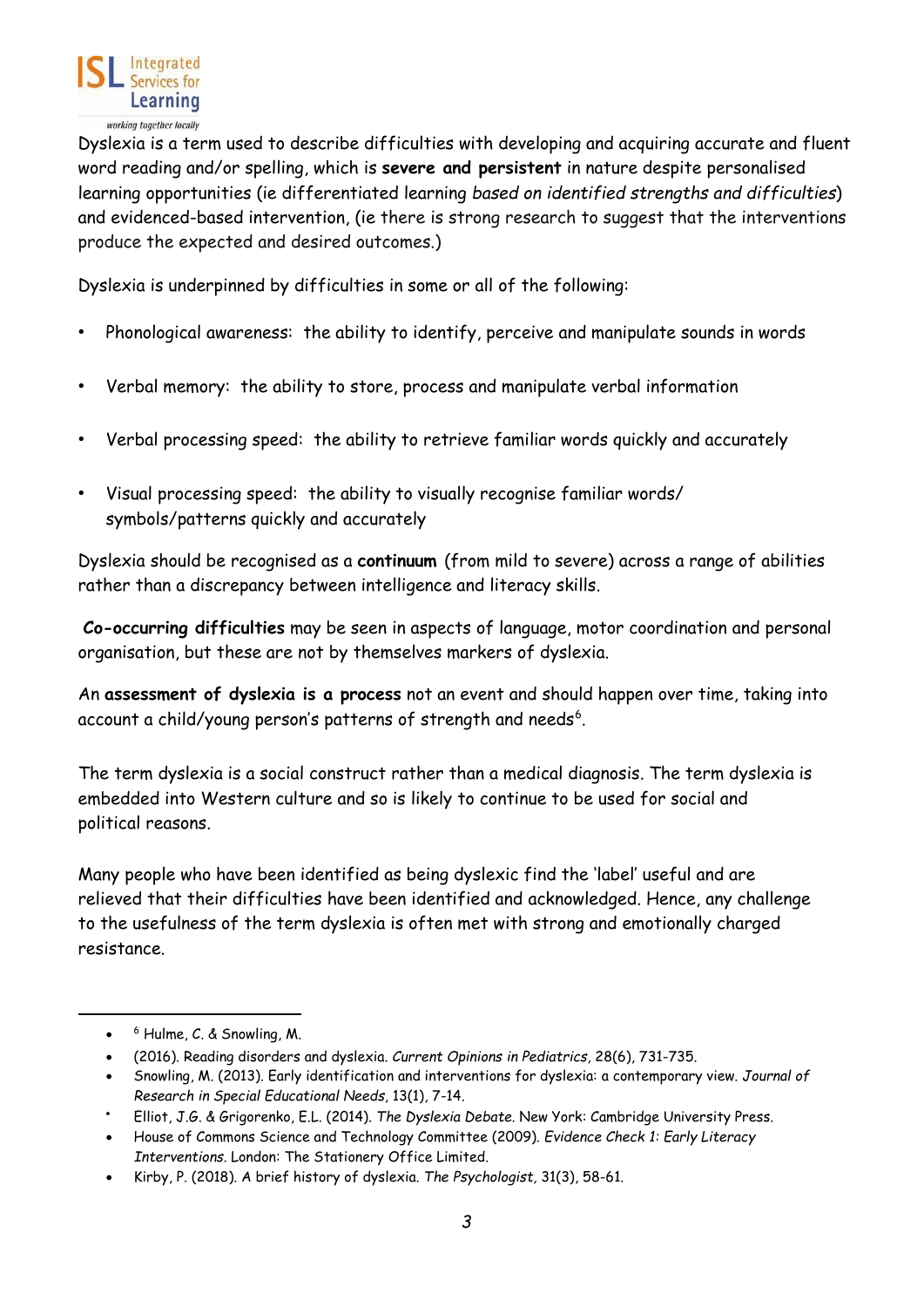

Dyslexia is a term used to describe difficulties with developing and acquiring accurate and fluent word reading and/or spelling, which is **severe and persistent** in nature despite personalised learning opportunities (ie differentiated learning *based on identified strengths and difficulties*) and evidenced-based intervention, (ie there is strong research to suggest that the interventions produce the expected and desired outcomes.)

Dyslexia is underpinned by difficulties in some or all of the following:

- Phonological awareness: the ability to identify, perceive and manipulate sounds in words
- Verbal memory: the ability to store, process and manipulate verbal information
- Verbal processing speed: the ability to retrieve familiar words quickly and accurately
- Visual processing speed: the ability to visually recognise familiar words/ symbols/patterns quickly and accurately

Dyslexia should be recognised as a **continuum** (from mild to severe) across a range of abilities rather than a discrepancy between intelligence and literacy skills.

**Co-occurring difficulties** may be seen in aspects of language, motor coordination and personal organisation, but these are not by themselves markers of dyslexia.

An **assessment of dyslexia is a process** not an event and should happen over time, taking into account a child/young person's patterns of strength and needs $6$ .

The term dyslexia is a social construct rather than a medical diagnosis. The term dyslexia is embedded into Western culture and so is likely to continue to be used for social and political reasons.

Many people who have been identified as being dyslexic find the 'label' useful and are relieved that their difficulties have been identified and acknowledged. Hence, any challenge to the usefulness of the term dyslexia is often met with strong and emotionally charged resistance.

<span id="page-2-0"></span><sup>•</sup> <sup>6</sup> Hulme, C. & Snowling, M.

<sup>•</sup> (2016). Reading disorders and dyslexia. *Current Opinions in Pediatrics,* 28(6), 731-735.

<sup>•</sup> Snowling, M. (2013). Early identification and interventions for dyslexia: a contemporary view. *Journal of Research in Special Educational Needs*, 13(1), 7-14.

<sup>•</sup> Elliot, J.G. & Grigorenko, E.L. (2014). *The Dyslexia Debate.* New York: Cambridge University Press.

<sup>•</sup> House of Commons Science and Technology Committee (2009). *Evidence Check 1: Early Literacy Interventions.* London: The Stationery Office Limited.

<sup>•</sup> Kirby, P. (2018). A brief history of dyslexia. *The Psychologist,* 31(3), 58-61.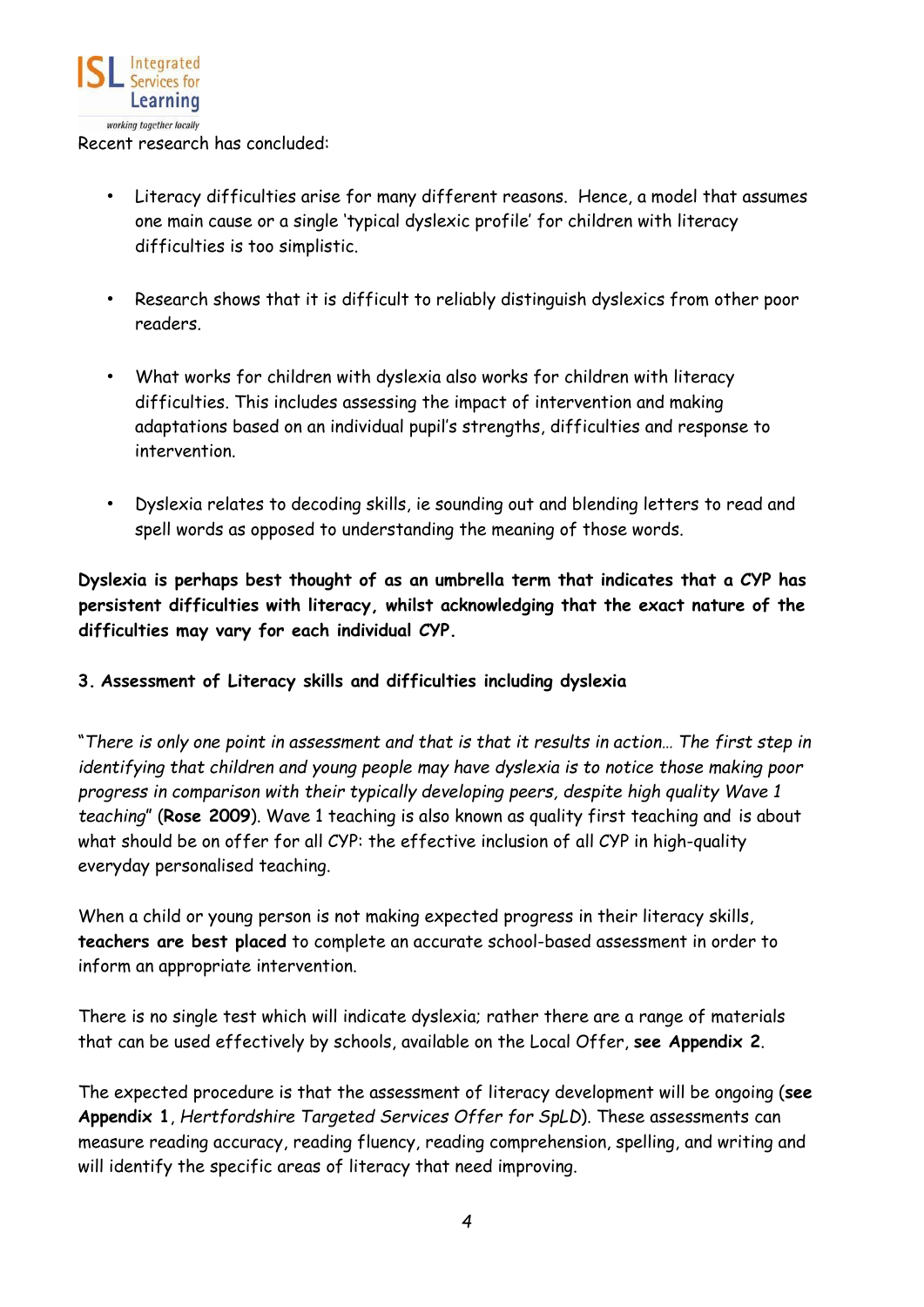

- Literacy difficulties arise for many different reasons. Hence, a model that assumes one main cause or a single 'typical dyslexic profile' for children with literacy difficulties is too simplistic.
- Research shows that it is difficult to reliably distinguish dyslexics from other poor readers.
- What works for children with dyslexia also works for children with literacy difficulties. This includes assessing the impact of intervention and making adaptations based on an individual pupil's strengths, difficulties and response to intervention.
- Dyslexia relates to decoding skills, ie sounding out and blending letters to read and spell words as opposed to understanding the meaning of those words.

**Dyslexia is perhaps best thought of as an umbrella term that indicates that a CYP has persistent difficulties with literacy, whilst acknowledging that the exact nature of the difficulties may vary for each individual CYP.** 

### <span id="page-3-0"></span>**3. Assessment of Literacy skills and difficulties including dyslexia**

"*There is only one point in assessment and that is that it results in action… The first step in identifying that children and young people may have dyslexia is to notice those making poor progress in comparison with their typically developing peers, despite high quality Wave 1 teaching*" (**Rose 2009**). Wave 1 teaching is also known as quality first teaching and is about what should be on offer for all CYP: the effective inclusion of all CYP in high-quality everyday personalised teaching.

When a child or young person is not making expected progress in their literacy skills, **teachers are best placed** to complete an accurate school-based assessment in order to inform an appropriate intervention.

There is no single test which will indicate dyslexia; rather there are a range of materials that can be used effectively by schools, available on the Local Offer, **see Appendix 2**.

The expected procedure is that the assessment of literacy development will be ongoing (**see Appendix 1**, *Hertfordshire Targeted Services Offer for SpLD*). These assessments can measure reading accuracy, reading fluency, reading comprehension, spelling, and writing and will identify the specific areas of literacy that need improving.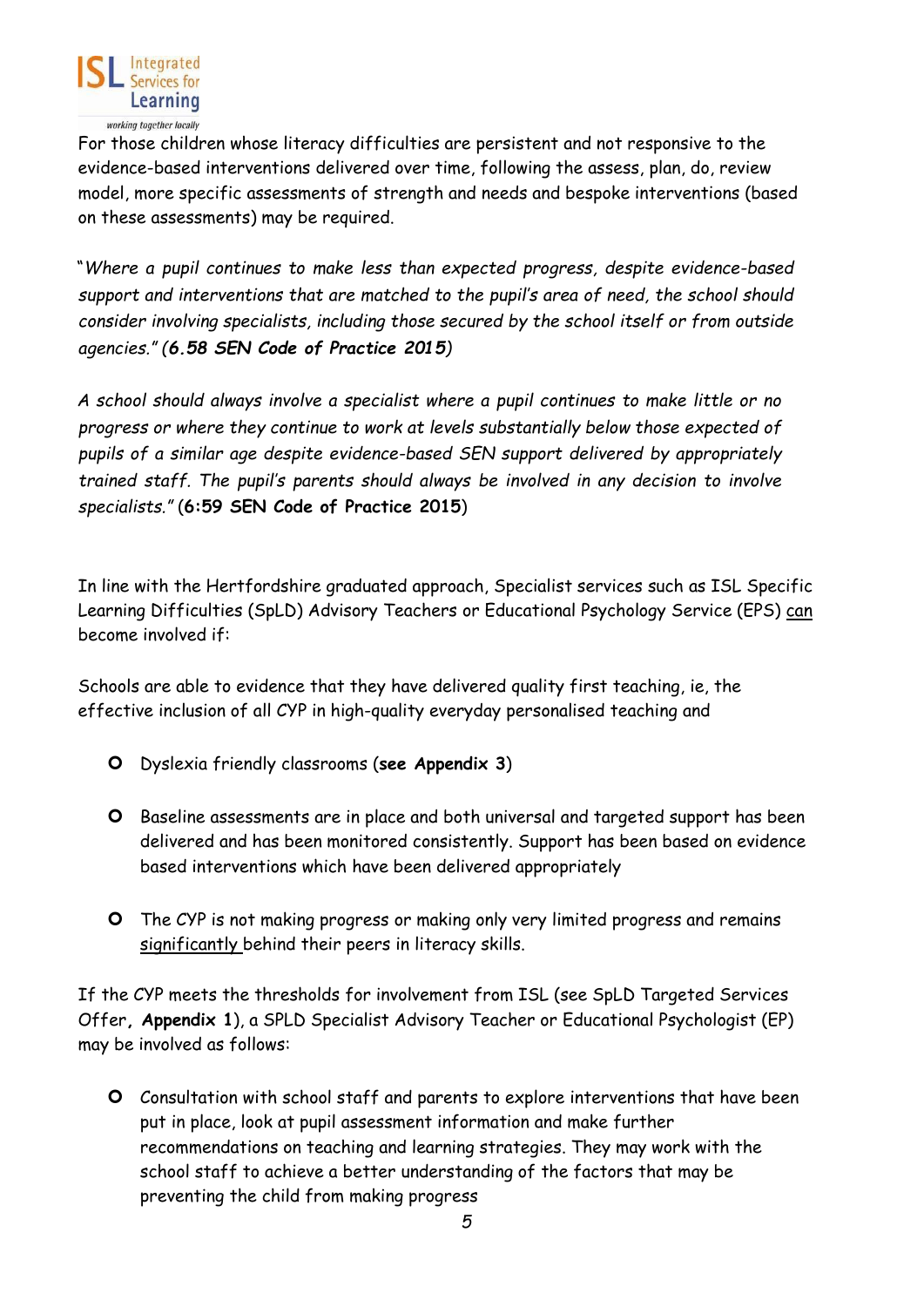

For those children whose literacy difficulties are persistent and not responsive to the evidence-based interventions delivered over time, following the assess, plan, do, review model, more specific assessments of strength and needs and bespoke interventions (based on these assessments) may be required.

"*Where a pupil continues to make less than expected progress, despite evidence-based support and interventions that are matched to the pupil's area of need, the school should consider involving specialists, including those secured by the school itself or from outside agencies." (6.58 SEN Code of Practice 2015)* 

*A school should always involve a specialist where a pupil continues to make little or no progress or where they continue to work at levels substantially below those expected of pupils of a similar age despite evidence-based SEN support delivered by appropriately trained staff. The pupil's parents should always be involved in any decision to involve specialists."* (**6:59 SEN Code of Practice 2015**)

In line with the Hertfordshire graduated approach, Specialist services such as ISL Specific Learning Difficulties (SpLD) Advisory Teachers or Educational Psychology Service (EPS) can become involved if:

Schools are able to evidence that they have delivered quality first teaching, ie, the effective inclusion of all CYP in high-quality everyday personalised teaching and

- Dyslexia friendly classrooms (**see Appendix 3**)
- O Baseline assessments are in place and both universal and targeted support has been delivered and has been monitored consistently. Support has been based on evidence based interventions which have been delivered appropriately
- The CYP is not making progress or making only very limited progress and remains significantly behind their peers in literacy skills.

If the CYP meets the thresholds for involvement from ISL (see SpLD Targeted Services Offer**, Appendix 1**), a SPLD Specialist Advisory Teacher or Educational Psychologist (EP) may be involved as follows:

 Consultation with school staff and parents to explore interventions that have been put in place, look at pupil assessment information and make further recommendations on teaching and learning strategies. They may work with the school staff to achieve a better understanding of the factors that may be preventing the child from making progress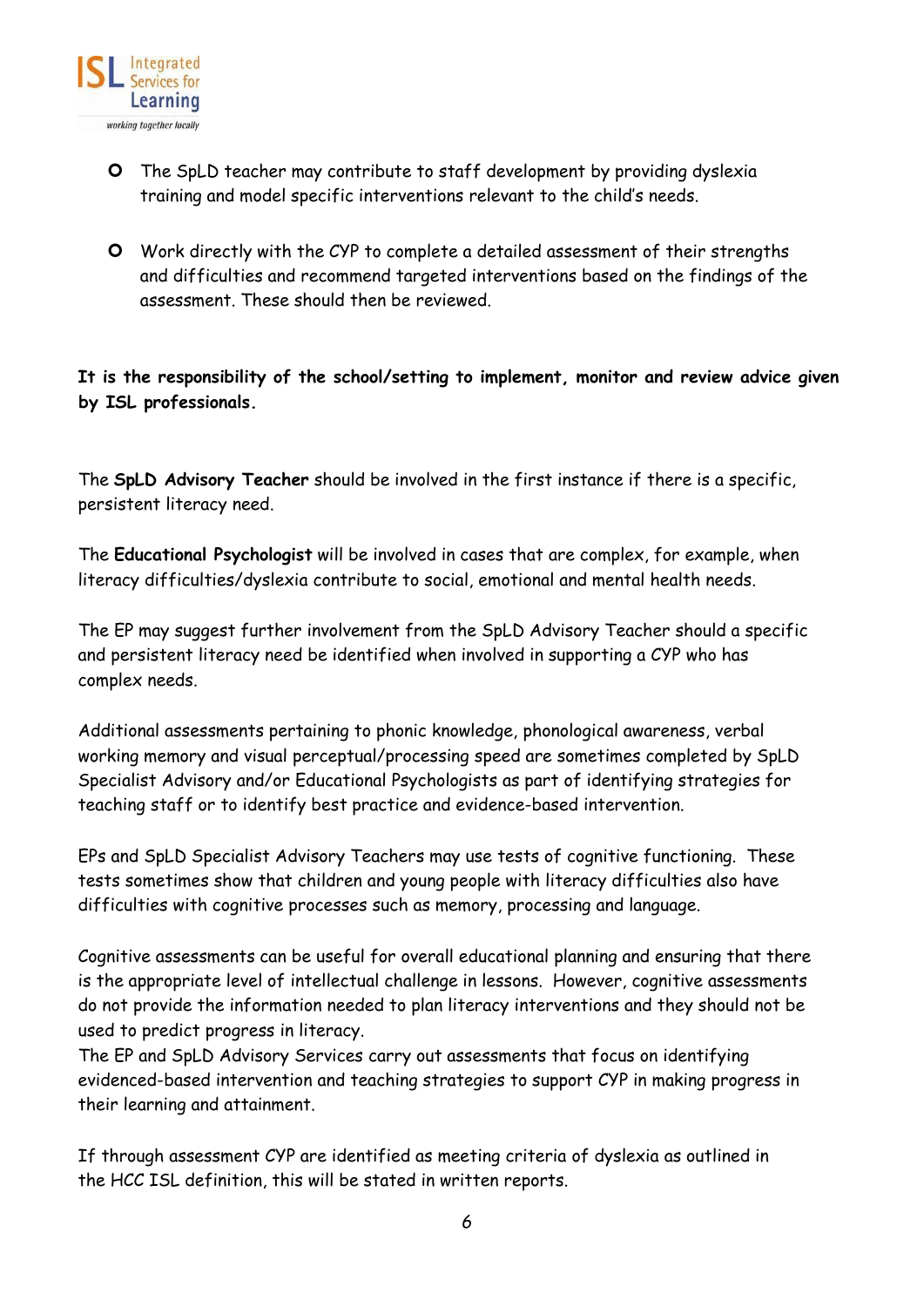

- The SpLD teacher may contribute to staff development by providing dyslexia training and model specific interventions relevant to the child's needs.
- Work directly with the CYP to complete a detailed assessment of their strengths and difficulties and recommend targeted interventions based on the findings of the assessment. These should then be reviewed.

**It is the responsibility of the school/setting to implement, monitor and review advice given by ISL professionals.**

The **SpLD Advisory Teacher** should be involved in the first instance if there is a specific, persistent literacy need.

The **Educational Psychologist** will be involved in cases that are complex, for example, when literacy difficulties/dyslexia contribute to social, emotional and mental health needs.

The EP may suggest further involvement from the SpLD Advisory Teacher should a specific and persistent literacy need be identified when involved in supporting a CYP who has complex needs.

Additional assessments pertaining to phonic knowledge, phonological awareness, verbal working memory and visual perceptual/processing speed are sometimes completed by SpLD Specialist Advisory and/or Educational Psychologists as part of identifying strategies for teaching staff or to identify best practice and evidence-based intervention.

EPs and SpLD Specialist Advisory Teachers may use tests of cognitive functioning. These tests sometimes show that children and young people with literacy difficulties also have difficulties with cognitive processes such as memory, processing and language.

Cognitive assessments can be useful for overall educational planning and ensuring that there is the appropriate level of intellectual challenge in lessons. However, cognitive assessments do not provide the information needed to plan literacy interventions and they should not be used to predict progress in literacy.

The EP and SpLD Advisory Services carry out assessments that focus on identifying evidenced-based intervention and teaching strategies to support CYP in making progress in their learning and attainment.

If through assessment CYP are identified as meeting criteria of dyslexia as outlined in the HCC ISL definition, this will be stated in written reports.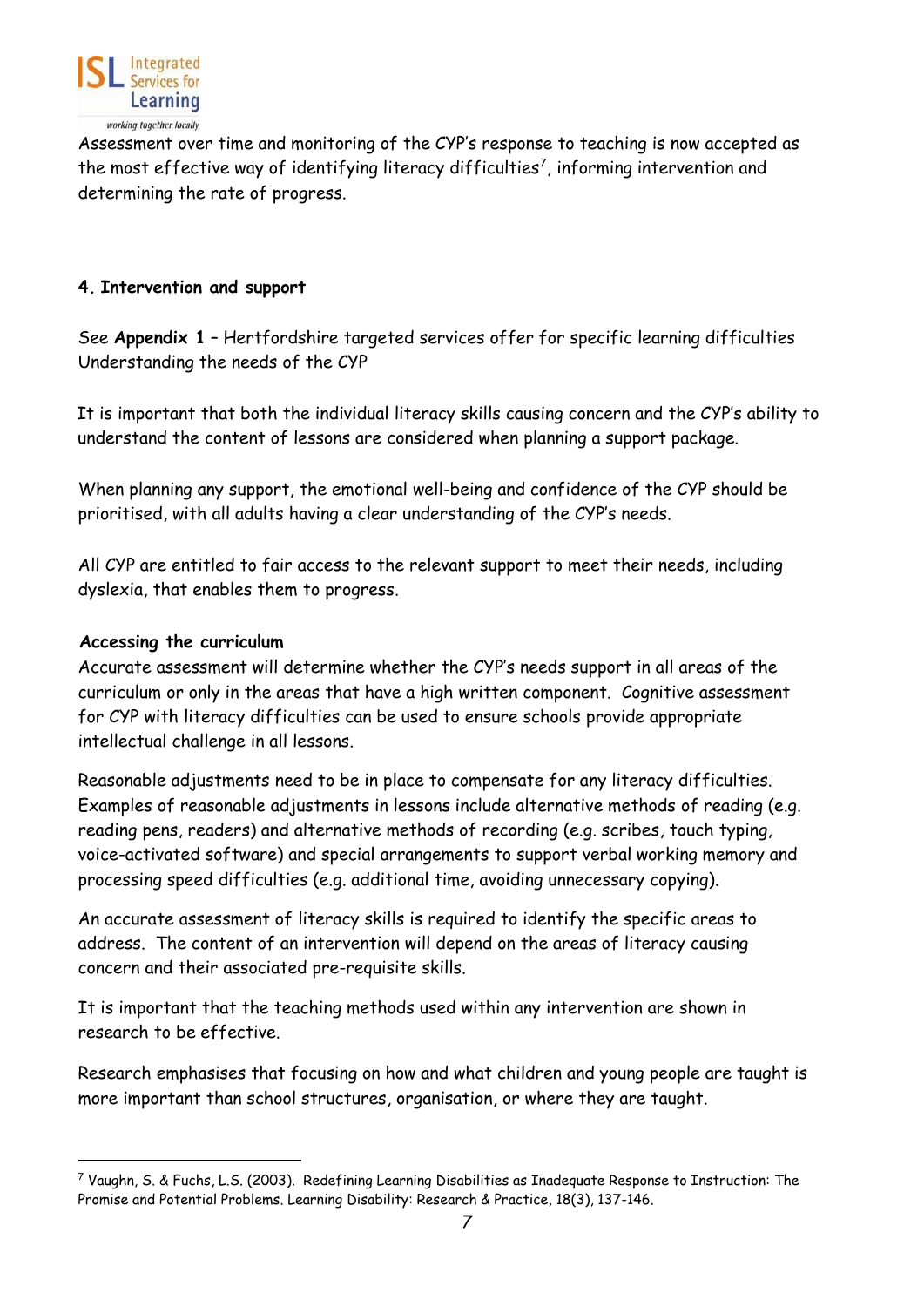

Assessment over time and monitoring of the CYP's response to teaching is now accepted as the most effective way of identifying literacy difficulties<sup>[7](#page-6-2)</sup>, informing intervention and determining the rate of progress.

#### <span id="page-6-0"></span>**4. Intervention and support**

See **Appendix 1** – Hertfordshire targeted services offer for specific learning difficulties Understanding the needs of the CYP

It is important that both the individual literacy skills causing concern and the CYP's ability to understand the content of lessons are considered when planning a support package.

When planning any support, the emotional well-being and confidence of the CYP should be prioritised, with all adults having a clear understanding of the CYP's needs.

All CYP are entitled to fair access to the relevant support to meet their needs, including dyslexia, that enables them to progress.

#### <span id="page-6-1"></span>**Accessing the curriculum**

Accurate assessment will determine whether the CYP's needs support in all areas of the curriculum or only in the areas that have a high written component. Cognitive assessment for CYP with literacy difficulties can be used to ensure schools provide appropriate intellectual challenge in all lessons.

Reasonable adjustments need to be in place to compensate for any literacy difficulties. Examples of reasonable adjustments in lessons include alternative methods of reading (e.g. reading pens, readers) and alternative methods of recording (e.g. scribes, touch typing, voice-activated software) and special arrangements to support verbal working memory and processing speed difficulties (e.g. additional time, avoiding unnecessary copying).

An accurate assessment of literacy skills is required to identify the specific areas to address. The content of an intervention will depend on the areas of literacy causing concern and their associated pre-requisite skills.

It is important that the teaching methods used within any intervention are shown in research to be effective.

Research emphasises that focusing on how and what children and young people are taught is more important than school structures, organisation, or where they are taught.

<span id="page-6-2"></span> $^7$  Vaughn, S. & Fuchs, L.S. (2003). Redefining Learning Disabilities as Inadequate Response to Instruction: The Promise and Potential Problems. Learning Disability: Research & Practice, 18(3), 137-146.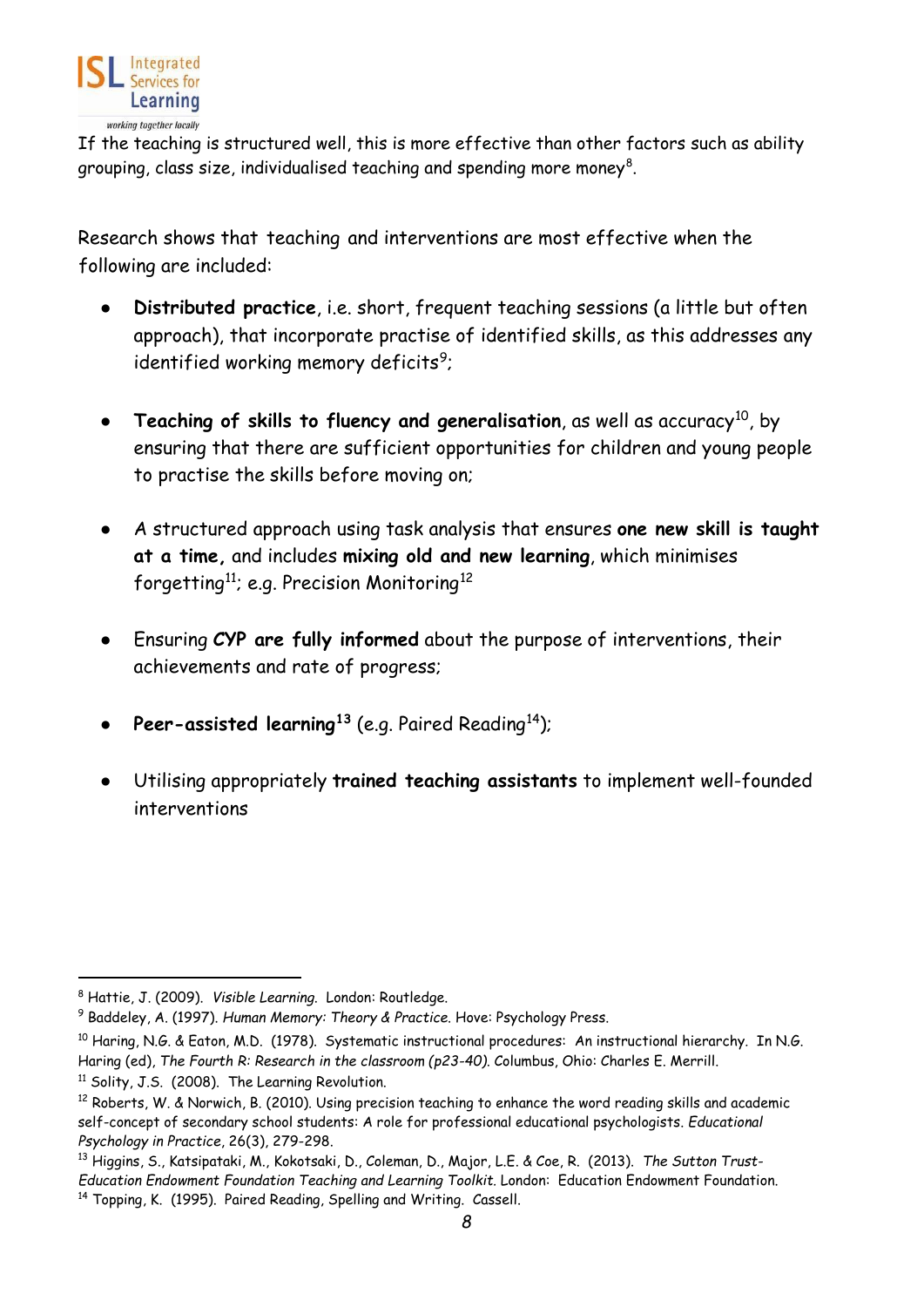

If the teaching is structured well, this is more effective than other factors such as ability grouping, class size, individualised teaching and spending more money $^{\rm 8}$  $^{\rm 8}$  $^{\rm 8}$ .

Research shows that teaching and interventions are most effective when the following are included:

- **Distributed practice**, i.e. short, frequent teaching sessions (a little but often approach), that incorporate practise of identified skills, as this addresses any identified working memory deficits<sup>[9](#page-7-1)</sup>;
- **• Teaching of skills to fluency and generalisation**, as well as accuracy<sup>[10](#page-7-2)</sup>, by ensuring that there are sufficient opportunities for children and young people to practise the skills before moving on;
- A structured approach using task analysis that ensures **one new skill is taught at a time,** and includes **mixing old and new learning**, which minimises forgetting<sup>[11](#page-7-3)</sup>; e.g. Precision Monitoring<sup>[12](#page-7-4)</sup>
- Ensuring **CYP are fully informed** about the purpose of interventions, their achievements and rate of progress;
- **Peer-assisted learning[13](#page-7-5)** (e.g. Paired Reading[14\)](#page-7-6);
- Utilising appropriately **trained teaching assistants** to implement well-founded interventions

<span id="page-7-0"></span><sup>8</sup> Hattie, J. (2009). *Visible Learning*. London: Routledge.

<span id="page-7-1"></span><sup>9</sup> Baddeley, A. (1997). *Human Memory: Theory & Practice*. Hove: Psychology Press.

<span id="page-7-2"></span><sup>10</sup> Haring, N.G. & Eaton, M.D. (1978). Systematic instructional procedures: An instructional hierarchy*.* In N.G. Haring (ed), *The Fourth R: Research in the classroom (p23-40)*. Columbus, Ohio: Charles E. Merrill.

<span id="page-7-3"></span><sup>&</sup>lt;sup>11</sup> Solity, J.S. (2008). The Learning Revolution.

<span id="page-7-4"></span><sup>&</sup>lt;sup>12</sup> Roberts, W. & Norwich, B. (2010). Using precision teaching to enhance the word reading skills and academic self-concept of secondary school students: A role for professional educational psychologists. *Educational Psychology in Practice*, 26(3), 279-298.

<span id="page-7-6"></span><span id="page-7-5"></span><sup>13</sup> Higgins, S., Katsipataki, M., Kokotsaki, D., Coleman, D., Major, L.E. & Coe, R. (2013). *The Sutton Trust-Education Endowment Foundation Teaching and Learning Toolkit.* London: Education Endowment Foundation. <sup>14</sup> Topping, K. (1995). Paired Reading, Spelling and Writing. Cassell.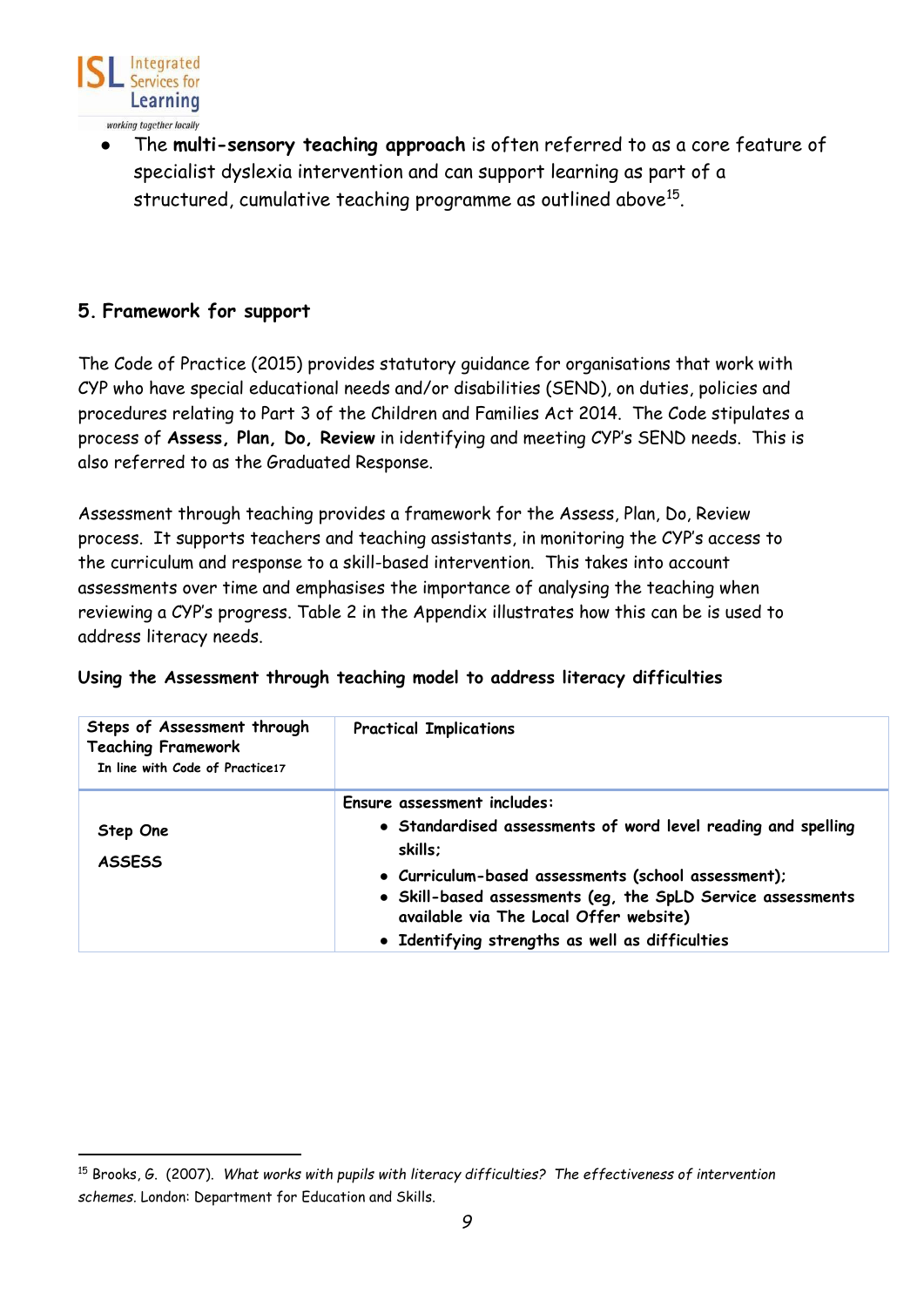

The **multi-sensory teaching approach** is often referred to as a core feature of specialist dyslexia intervention and can support learning as part of a structured, cumulative teaching programme as outlined above<sup>[15](#page-8-2)</sup>.

# <span id="page-8-0"></span>**5. Framework for support**

The Code of Practice (2015) provides statutory guidance for organisations that work with CYP who have special educational needs and/or disabilities (SEND), on duties, policies and procedures relating to Part 3 of the Children and Families Act 2014. The Code stipulates a process of **Assess, Plan, Do, Review** in identifying and meeting CYP's SEND needs. This is also referred to as the Graduated Response.

Assessment through teaching provides a framework for the Assess, Plan, Do, Review process. It supports teachers and teaching assistants, in monitoring the CYP's access to the curriculum and response to a skill-based intervention. This takes into account assessments over time and emphasises the importance of analysing the teaching when reviewing a CYP's progress. Table 2 in the Appendix illustrates how this can be is used to address literacy needs.

<span id="page-8-1"></span>

|  | Using the Assessment through teaching model to address literacy difficulties |  |  |  |  |  |  |
|--|------------------------------------------------------------------------------|--|--|--|--|--|--|
|--|------------------------------------------------------------------------------|--|--|--|--|--|--|

| Steps of Assessment through<br><b>Teaching Framework</b><br>In line with Code of Practice17 | <b>Practical Implications</b>                                                                                                                                                                                                                                           |
|---------------------------------------------------------------------------------------------|-------------------------------------------------------------------------------------------------------------------------------------------------------------------------------------------------------------------------------------------------------------------------|
| Step One<br><b>ASSESS</b>                                                                   | Ensure assessment includes:<br>• Standardised assessments of word level reading and spelling<br>skills;<br>· Curriculum-based assessments (school assessment);<br>• Skill-based assessments (eg, the SpLD Service assessments<br>available via The Local Offer website) |
|                                                                                             | · Identifying strengths as well as difficulties                                                                                                                                                                                                                         |

<span id="page-8-2"></span><sup>15</sup> Brooks, G. (2007). *What works with pupils with literacy difficulties? The effectiveness of intervention schemes.* London: Department for Education and Skills.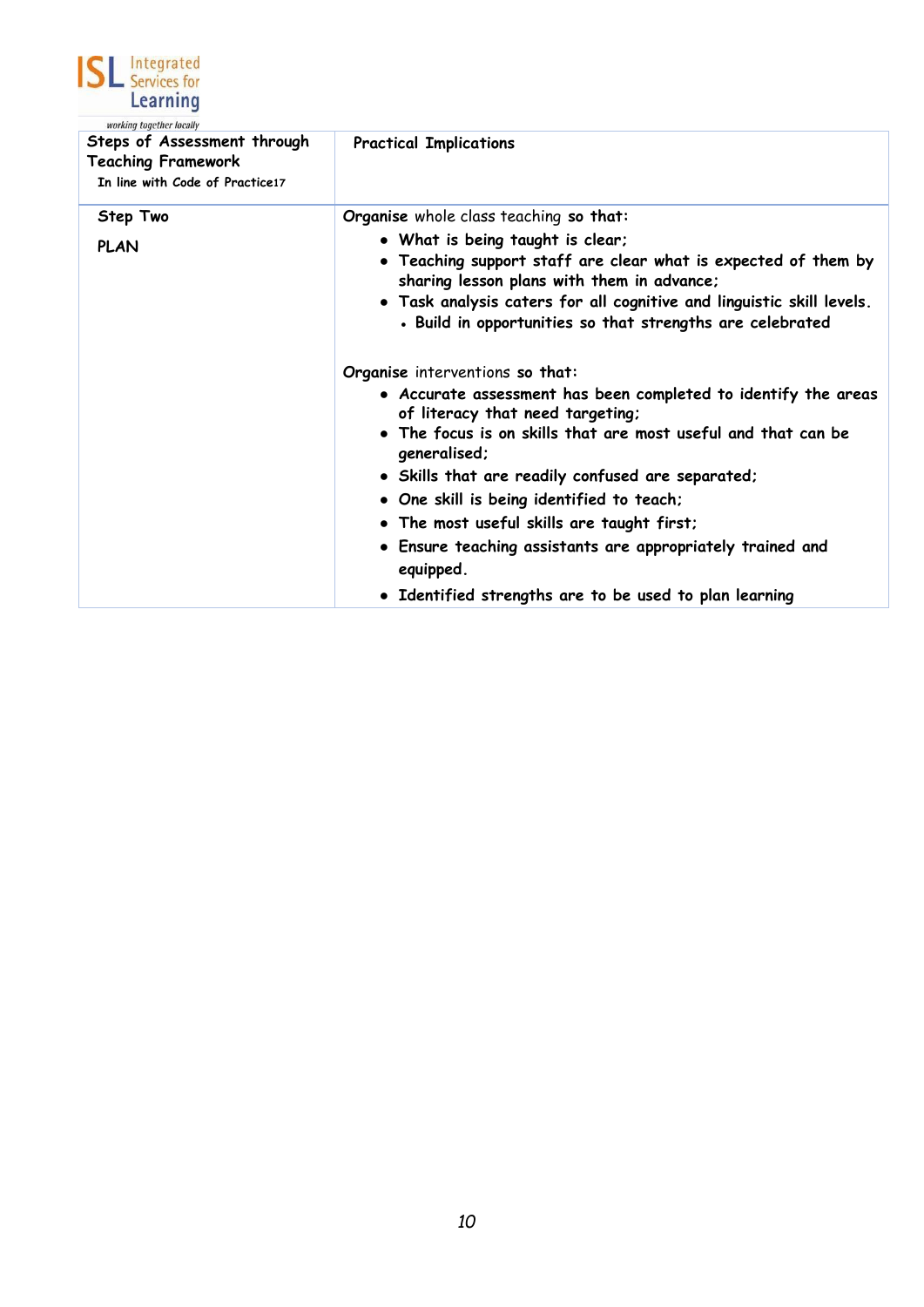

| <i>working together locally</i><br>Steps of Assessment through<br><b>Teaching Framework</b><br>In line with Code of Practice17 | <b>Practical Implications</b>                                                                                                                                                                                                                                                                                                                                                                                                                                            |
|--------------------------------------------------------------------------------------------------------------------------------|--------------------------------------------------------------------------------------------------------------------------------------------------------------------------------------------------------------------------------------------------------------------------------------------------------------------------------------------------------------------------------------------------------------------------------------------------------------------------|
| Step Two<br><b>PLAN</b>                                                                                                        | Organise whole class teaching so that:<br>• What is being taught is clear;<br>• Teaching support staff are clear what is expected of them by<br>sharing lesson plans with them in advance;<br>. Task analysis caters for all cognitive and linguistic skill levels.<br>. Build in opportunities so that strengths are celebrated<br>Organise interventions so that:                                                                                                      |
|                                                                                                                                | • Accurate assessment has been completed to identify the areas<br>of literacy that need targeting;<br>• The focus is on skills that are most useful and that can be<br>generalised;<br>• Skills that are readily confused are separated;<br>. One skill is being identified to teach;<br>. The most useful skills are taught first;<br>. Ensure teaching assistants are appropriately trained and<br>equipped.<br>• Identified strengths are to be used to plan learning |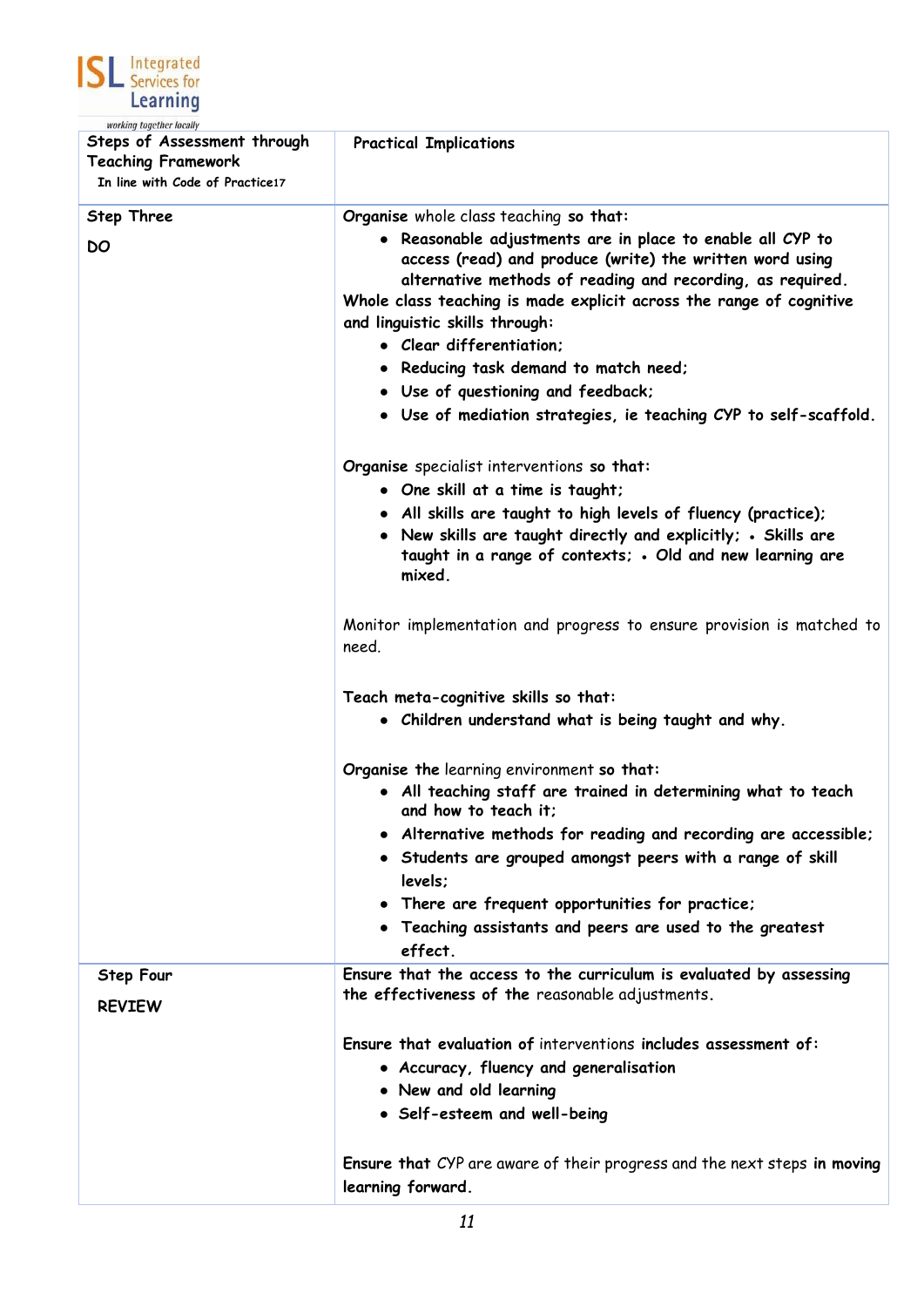

| working together locally<br>Steps of Assessment through<br><b>Teaching Framework</b><br>In line with Code of Practice17 | <b>Practical Implications</b>                                                                                                                                                                                                                                                                                                                                                                                                                                 |
|-------------------------------------------------------------------------------------------------------------------------|---------------------------------------------------------------------------------------------------------------------------------------------------------------------------------------------------------------------------------------------------------------------------------------------------------------------------------------------------------------------------------------------------------------------------------------------------------------|
| <b>Step Three</b><br>DO                                                                                                 | Organise whole class teaching so that:<br>Reasonable adjustments are in place to enable all CYP to<br>$\bullet$<br>access (read) and produce (write) the written word using<br>alternative methods of reading and recording, as required.<br>Whole class teaching is made explicit across the range of cognitive<br>and linguistic skills through:<br>• Clear differentiation:<br>• Reducing task demand to match need;<br>• Use of questioning and feedback; |
|                                                                                                                         | • Use of mediation strategies, ie teaching CYP to self-scaffold.<br>Organise specialist interventions so that:<br>• One skill at a time is taught;<br>• All skills are taught to high levels of fluency (practice);<br>• New skills are taught directly and explicitly; . Skills are<br>taught in a range of contexts; . Old and new learning are<br>mixed.                                                                                                   |
|                                                                                                                         | Monitor implementation and progress to ensure provision is matched to<br>need.                                                                                                                                                                                                                                                                                                                                                                                |
|                                                                                                                         | Teach meta-cognitive skills so that:<br>• Children understand what is being taught and why.                                                                                                                                                                                                                                                                                                                                                                   |
|                                                                                                                         | Organise the learning environment so that:<br>• All teaching staff are trained in determining what to teach<br>and how to teach it:<br>• Alternative methods for reading and recording are accessible;<br>• Students are grouped amongst peers with a range of skill<br>levels;<br>• There are frequent opportunities for practice;<br>• Teaching assistants and peers are used to the greatest<br>effect.                                                    |
| <b>Step Four</b><br><b>REVIEW</b>                                                                                       | Ensure that the access to the curriculum is evaluated by assessing<br>the effectiveness of the reasonable adjustments.                                                                                                                                                                                                                                                                                                                                        |
|                                                                                                                         | Ensure that evaluation of interventions includes assessment of:<br>• Accuracy, fluency and generalisation<br>• New and old learning<br>• Self-esteem and well-being                                                                                                                                                                                                                                                                                           |
|                                                                                                                         | <b>Ensure that</b> CYP are aware of their progress and the next steps in moving<br>learning forward.                                                                                                                                                                                                                                                                                                                                                          |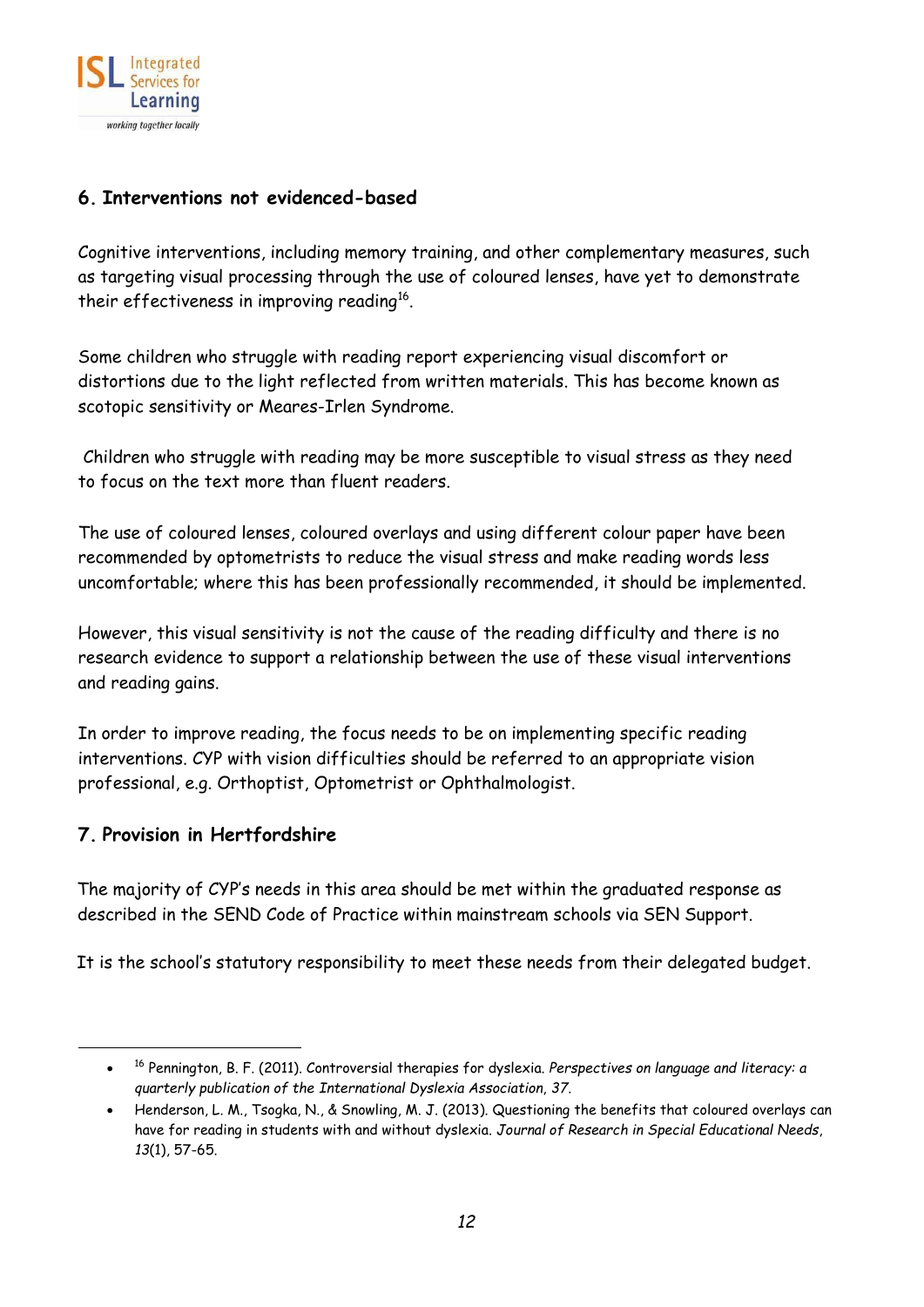

## <span id="page-11-0"></span>**6. Interventions not evidenced-based**

Cognitive interventions, including memory training, and other complementary measures, such as targeting visual processing through the use of coloured lenses, have yet to demonstrate their effectiveness in improving reading<sup>16</sup>.

Some children who struggle with reading report experiencing visual discomfort or distortions due to the light reflected from written materials. This has become known as scotopic sensitivity or Meares-Irlen Syndrome.

Children who struggle with reading may be more susceptible to visual stress as they need to focus on the text more than fluent readers.

The use of coloured lenses, coloured overlays and using different colour paper have been recommended by optometrists to reduce the visual stress and make reading words less uncomfortable; where this has been professionally recommended, it should be implemented.

However, this visual sensitivity is not the cause of the reading difficulty and there is no research evidence to support a relationship between the use of these visual interventions and reading gains.

In order to improve reading, the focus needs to be on implementing specific reading interventions. CYP with vision difficulties should be referred to an appropriate vision professional, e.g. Orthoptist, Optometrist or Ophthalmologist.

### <span id="page-11-1"></span>**7. Provision in Hertfordshire**

The majority of CYP's needs in this area should be met within the graduated response as described in the SEND Code of Practice within mainstream schools via SEN Support.

It is the school's statutory responsibility to meet these needs from their delegated budget.

<span id="page-11-2"></span><sup>•</sup> <sup>16</sup> Pennington, B. F. (2011). Controversial therapies for dyslexia. *Perspectives on language and literacy: a quarterly publication of the International Dyslexia Association*, *37*.

<sup>•</sup> Henderson, L. M., Tsogka, N., & Snowling, M. J. (2013). Questioning the benefits that coloured overlays can have for reading in students with and without dyslexia. *Journal of Research in Special Educational Needs*, *13*(1), 57-65.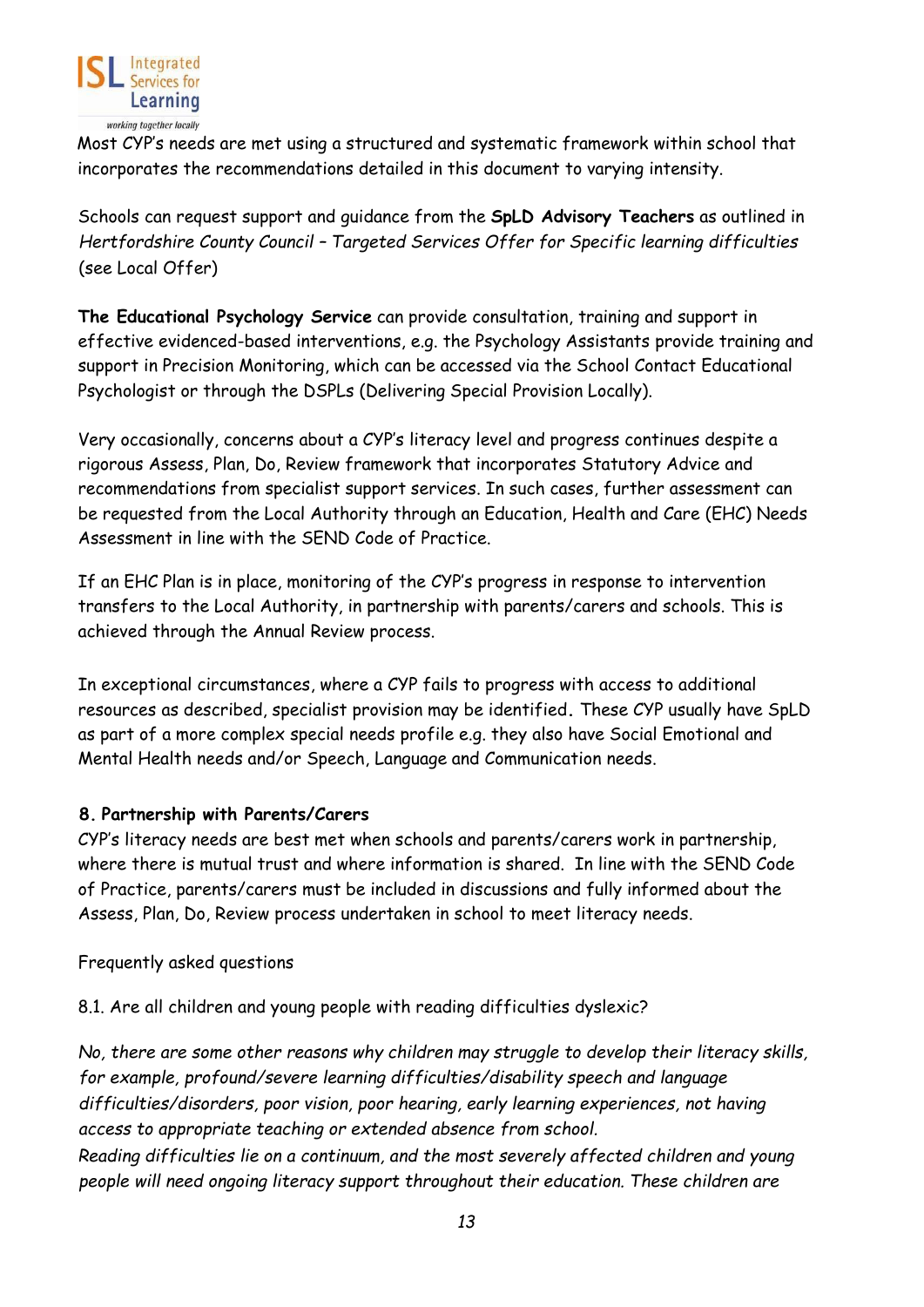

Most CYP's needs are met using a structured and systematic framework within school that incorporates the recommendations detailed in this document to varying intensity.

Schools can request support and guidance from the **SpLD Advisory Teachers** as outlined in *Hertfordshire County Council – Targeted Services Offer for Specific learning difficulties* (see Local Offer)

**The Educational Psychology Service** can provide consultation, training and support in effective evidenced-based interventions, e.g. the Psychology Assistants provide training and support in Precision Monitoring, which can be accessed via the School Contact Educational Psychologist or through the DSPLs (Delivering Special Provision Locally).

Very occasionally, concerns about a CYP's literacy level and progress continues despite a rigorous Assess, Plan, Do, Review framework that incorporates Statutory Advice and recommendations from specialist support services. In such cases, further assessment can be requested from the Local Authority through an Education, Health and Care (EHC) Needs Assessment in line with the SEND Code of Practice.

If an EHC Plan is in place, monitoring of the CYP's progress in response to intervention transfers to the Local Authority, in partnership with parents/carers and schools. This is achieved through the Annual Review process.

In exceptional circumstances, where a CYP fails to progress with access to additional resources as described, specialist provision may be identified**.** These CYP usually have SpLD as part of a more complex special needs profile e.g. they also have Social Emotional and Mental Health needs and/or Speech, Language and Communication needs.

### <span id="page-12-0"></span>**8. Partnership with Parents/Carers**

CYP's literacy needs are best met when schools and parents/carers work in partnership, where there is mutual trust and where information is shared. In line with the SEND Code of Practice, parents/carers must be included in discussions and fully informed about the Assess, Plan, Do, Review process undertaken in school to meet literacy needs.

Frequently asked questions

8.1. Are all children and young people with reading difficulties dyslexic?

*No, there are some other reasons why children may struggle to develop their literacy skills, for example, profound/severe learning difficulties/disability speech and language difficulties/disorders, poor vision, poor hearing, early learning experiences, not having access to appropriate teaching or extended absence from school. Reading difficulties lie on a continuum, and the most severely affected children and young* 

*people will need ongoing literacy support throughout their education. These children are*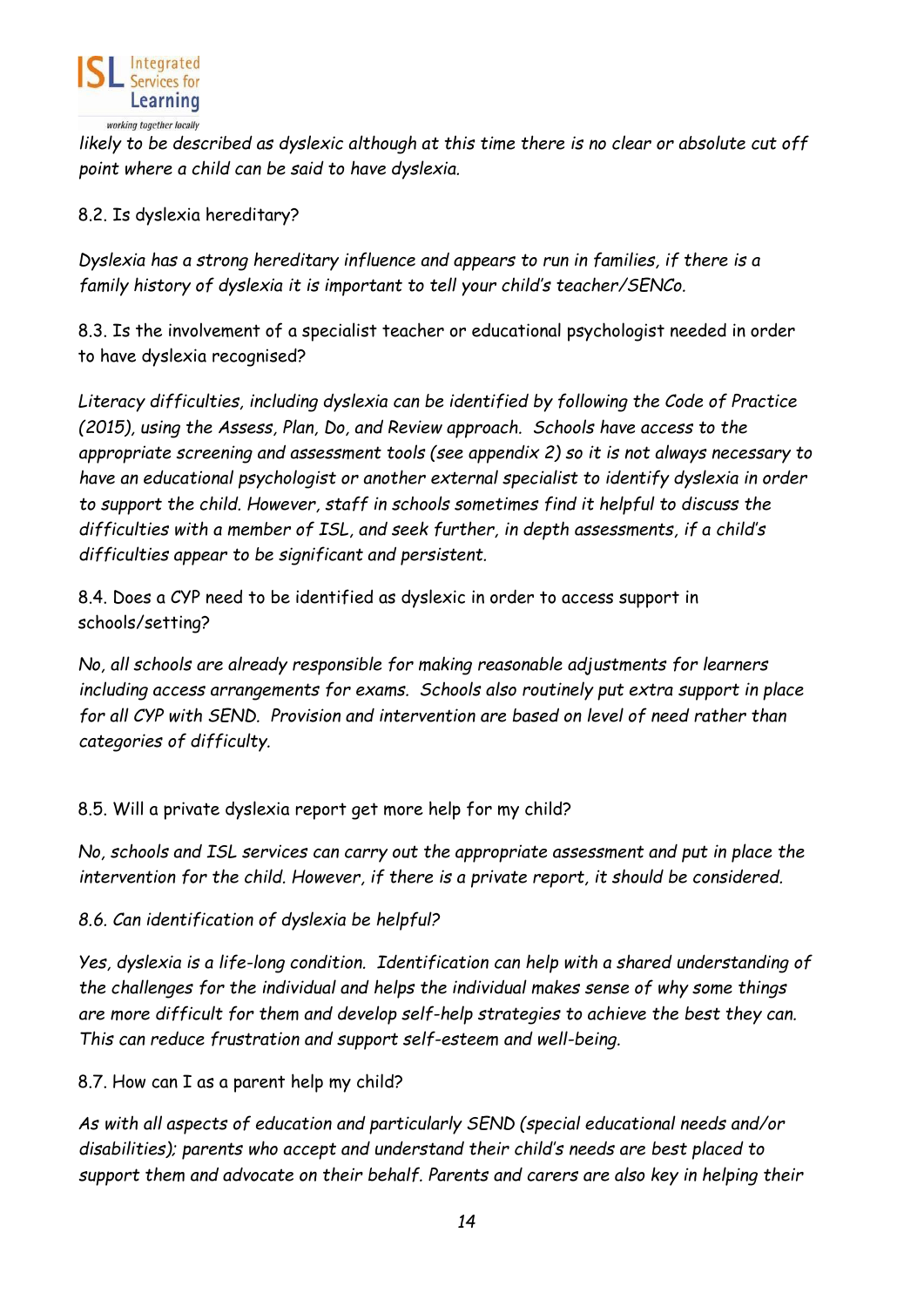

*likely to be described as dyslexic although at this time there is no clear or absolute cut off point where a child can be said to have dyslexia.* 

## 8.2. Is dyslexia hereditary?

*Dyslexia has a strong hereditary influence and appears to run in families, if there is a family history of dyslexia it is important to tell your child's teacher/SENCo.* 

8.3. Is the involvement of a specialist teacher or educational psychologist needed in order to have dyslexia recognised?

*Literacy difficulties, including dyslexia can be identified by following the Code of Practice (2015), using the Assess, Plan, Do, and Review approach. Schools have access to the appropriate screening and assessment tools (see appendix 2) so it is not always necessary to have an educational psychologist or another external specialist to identify dyslexia in order to support the child. However, staff in schools sometimes find it helpful to discuss the difficulties with a member of ISL, and seek further, in depth assessments, if a child's difficulties appear to be significant and persistent.* 

8.4. Does a CYP need to be identified as dyslexic in order to access support in schools/setting?

*No, all schools are already responsible for making reasonable adjustments for learners including access arrangements for exams. Schools also routinely put extra support in place for all CYP with SEND. Provision and intervention are based on level of need rather than categories of difficulty.* 

8.5. Will a private dyslexia report get more help for my child?

*No, schools and ISL services can carry out the appropriate assessment and put in place the intervention for the child. However, if there is a private report, it should be considered.* 

*8.6. Can identification of dyslexia be helpful?* 

*Yes, dyslexia is a life-long condition. Identification can help with a shared understanding of the challenges for the individual and helps the individual makes sense of why some things are more difficult for them and develop self-help strategies to achieve the best they can. This can reduce frustration and support self-esteem and well-being.* 

8.7. How can I as a parent help my child?

*As with all aspects of education and particularly SEND (special educational needs and/or disabilities); parents who accept and understand their child's needs are best placed to support them and advocate on their behalf. Parents and carers are also key in helping their*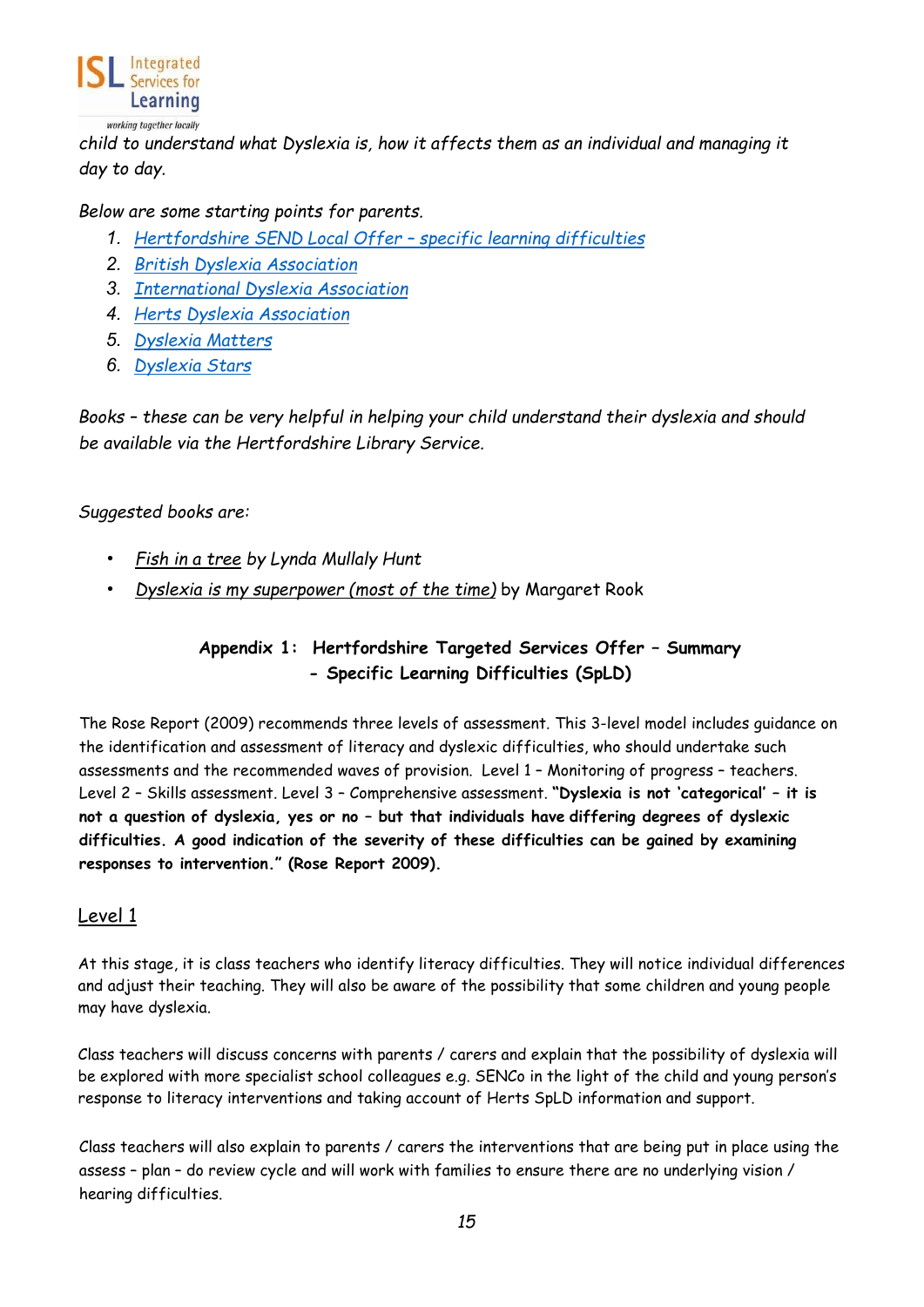

*child to understand what Dyslexia is, how it affects them as an individual and managing it day to day.* 

#### *Below are some starting points for parents.*

- *1. Hertfordshire SEND Local Offer specific learning difficulties*
- *2. [British Dyslexia Association](https://www.bdadyslexia.org.uk/)*
- *3. [International Dyslexia Association](https://dyslexiaida.org/)*
- *4. [Herts Dyslexia Association](http://hertsdyslexia.co.uk/)*
- *5. [Dyslexia Matters](https://dyslexiamatters.co.uk/)*
- *6. [Dyslexia Stars](http://www.dyslexic-stars.co.uk/)*

*Books – these can be very helpful in helping your child understand their dyslexia and should be available via the Hertfordshire Library Service.* 

#### *Suggested books are:*

- *Fish in a tree by Lynda Mullaly Hunt*
- <span id="page-14-0"></span>• *Dyslexia is my superpower (most of the time)* by Margaret Rook

# **Appendix 1: Hertfordshire Targeted Services Offer – Summary - Specific Learning Difficulties (SpLD)**

<span id="page-14-1"></span>The Rose Report (2009) recommends three levels of assessment. This 3-level model includes guidance on the identification and assessment of literacy and dyslexic difficulties, who should undertake such assessments and the recommended waves of provision. Level 1 – Monitoring of progress – teachers. Level 2 – Skills assessment. Level 3 – Comprehensive assessment. **"Dyslexia is not 'categorical' – it is not a question of dyslexia, yes or no – but that individuals have differing degrees of dyslexic difficulties. A good indication of the severity of these difficulties can be gained by examining responses to intervention." (Rose Report 2009).** 

### <span id="page-14-2"></span>Level 1

At this stage, it is class teachers who identify literacy difficulties. They will notice individual differences and adjust their teaching. They will also be aware of the possibility that some children and young people may have dyslexia.

Class teachers will discuss concerns with parents / carers and explain that the possibility of dyslexia will be explored with more specialist school colleagues e.g. SENCo in the light of the child and young person's response to literacy interventions and taking account of Herts SpLD information and support.

Class teachers will also explain to parents / carers the interventions that are being put in place using the assess – plan – do review cycle and will work with families to ensure there are no underlying vision / hearing difficulties.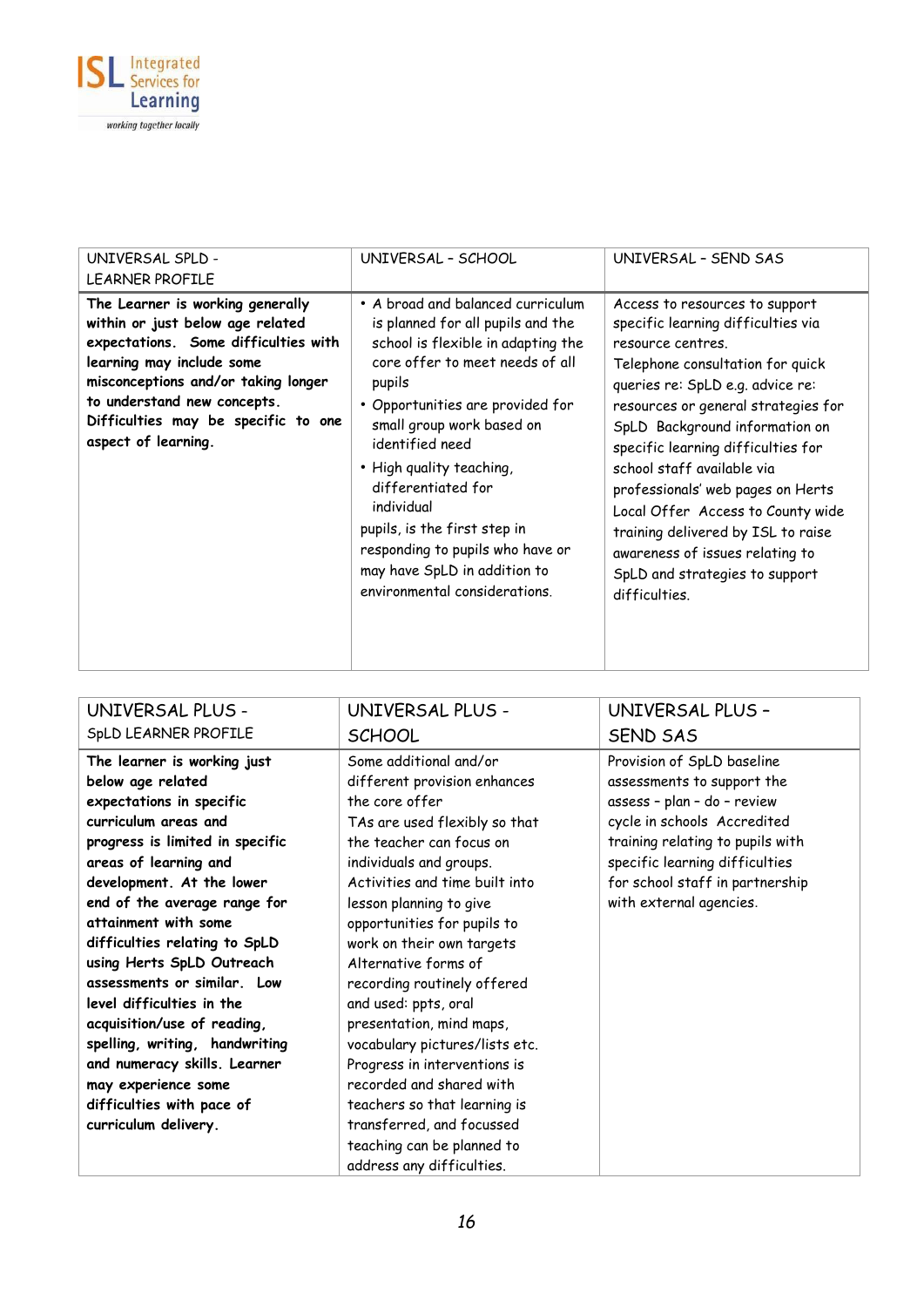

| UNIVERSAL SPLD -                                                                                                                                                                                                                                                              | UNIVERSAL - SCHOOL                                                                                                                                                                                                                                                                                                                                                                                                                                 | UNIVERSAL - SEND SAS                                                                                                                                                                                                                                                                                                                                                                                                                                                                                                 |
|-------------------------------------------------------------------------------------------------------------------------------------------------------------------------------------------------------------------------------------------------------------------------------|----------------------------------------------------------------------------------------------------------------------------------------------------------------------------------------------------------------------------------------------------------------------------------------------------------------------------------------------------------------------------------------------------------------------------------------------------|----------------------------------------------------------------------------------------------------------------------------------------------------------------------------------------------------------------------------------------------------------------------------------------------------------------------------------------------------------------------------------------------------------------------------------------------------------------------------------------------------------------------|
| <b>LEARNER PROFILE</b>                                                                                                                                                                                                                                                        |                                                                                                                                                                                                                                                                                                                                                                                                                                                    |                                                                                                                                                                                                                                                                                                                                                                                                                                                                                                                      |
| The Learner is working generally<br>within or just below age related<br>expectations. Some difficulties with<br>learning may include some<br>misconceptions and/or taking longer<br>to understand new concepts.<br>Difficulties may be specific to one<br>aspect of learning. | • A broad and balanced curriculum<br>is planned for all pupils and the<br>school is flexible in adapting the<br>core offer to meet needs of all<br>pupils<br>• Opportunities are provided for<br>small group work based on<br>identified need<br>• High quality teaching,<br>differentiated for<br>individual<br>pupils, is the first step in<br>responding to pupils who have or<br>may have SpLD in addition to<br>environmental considerations. | Access to resources to support<br>specific learning difficulties via<br>resource centres.<br>Telephone consultation for quick<br>queries re: SpLD e.g. advice re:<br>resources or general strategies for<br>SpLD Background information on<br>specific learning difficulties for<br>school staff available via<br>professionals' web pages on Herts<br>Local Offer Access to County wide<br>training delivered by ISL to raise<br>awareness of issues relating to<br>SpLD and strategies to support<br>difficulties. |

| UNIVERSAL PLUS -                | UNIVERSAL PLUS -               | UNIVERSAL PLUS -                 |
|---------------------------------|--------------------------------|----------------------------------|
| SpLD LEARNER PROFILE            | <b>SCHOOL</b>                  | <b>SEND SAS</b>                  |
| The learner is working just     | Some additional and/or         | Provision of SpLD baseline       |
| below age related               | different provision enhances   | assessments to support the       |
| expectations in specific        | the core offer                 | assess - plan - do - review      |
| curriculum areas and            | TAs are used flexibly so that  | cycle in schools Accredited      |
| progress is limited in specific | the teacher can focus on       | training relating to pupils with |
| areas of learning and           | individuals and groups.        | specific learning difficulties   |
| development. At the lower       | Activities and time built into | for school staff in partnership  |
| end of the average range for    | lesson planning to give        | with external agencies.          |
| attainment with some            | opportunities for pupils to    |                                  |
| difficulties relating to SpLD   | work on their own targets      |                                  |
| using Herts SpLD Outreach       | Alternative forms of           |                                  |
| assessments or similar. Low     | recording routinely offered    |                                  |
| level difficulties in the       | and used: ppts, oral           |                                  |
| acquisition/use of reading,     | presentation, mind maps,       |                                  |
| spelling, writing, handwriting  | vocabulary pictures/lists etc. |                                  |
| and numeracy skills. Learner    | Progress in interventions is   |                                  |
| may experience some             | recorded and shared with       |                                  |
| difficulties with pace of       | teachers so that learning is   |                                  |
| curriculum delivery.            | transferred, and focussed      |                                  |
|                                 | teaching can be planned to     |                                  |
|                                 | address any difficulties.      |                                  |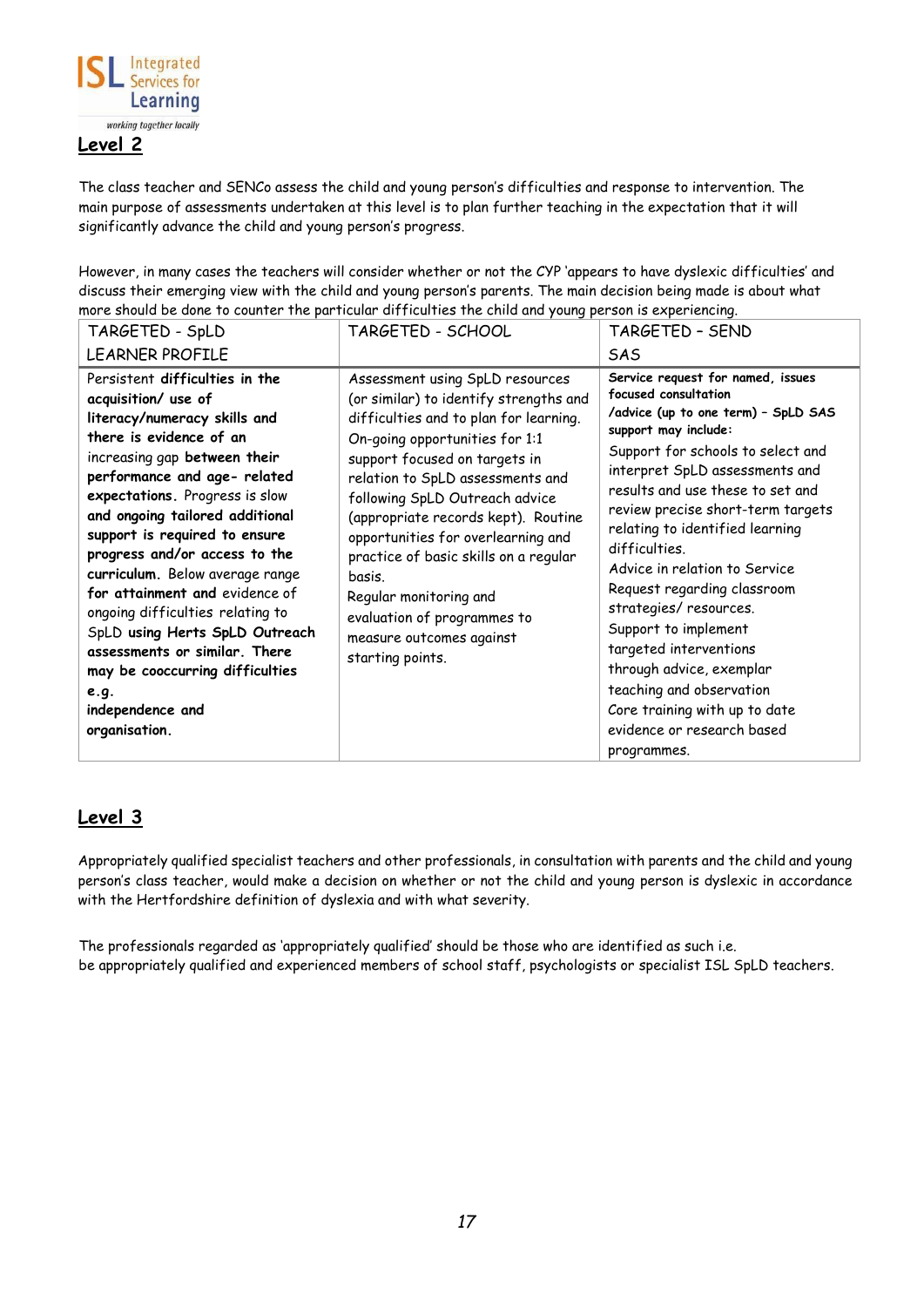

<span id="page-16-0"></span>The class teacher and SENCo assess the child and young person's difficulties and response to intervention. The main purpose of assessments undertaken at this level is to plan further teaching in the expectation that it will significantly advance the child and young person's progress.

However, in many cases the teachers will consider whether or not the CYP 'appears to have dyslexic difficulties' and discuss their emerging view with the child and young person's parents. The main decision being made is about what more should be done to counter the particular difficulties the child and young person is experiencing.

| TARGETED - SpLD                                                                                                                                                                                                                                                                                                                                                                                                                                                                                                                                                                     | TARGETED - SCHOOL                                                                                                                                                                                                                                                                                                                                                                                                                                                                                     | TARGETED - SEND                                                                                                                                                                                                                                                                                                                                                                                                                                                                                                                                                                                                |
|-------------------------------------------------------------------------------------------------------------------------------------------------------------------------------------------------------------------------------------------------------------------------------------------------------------------------------------------------------------------------------------------------------------------------------------------------------------------------------------------------------------------------------------------------------------------------------------|-------------------------------------------------------------------------------------------------------------------------------------------------------------------------------------------------------------------------------------------------------------------------------------------------------------------------------------------------------------------------------------------------------------------------------------------------------------------------------------------------------|----------------------------------------------------------------------------------------------------------------------------------------------------------------------------------------------------------------------------------------------------------------------------------------------------------------------------------------------------------------------------------------------------------------------------------------------------------------------------------------------------------------------------------------------------------------------------------------------------------------|
| <b>LEARNER PROFILE</b>                                                                                                                                                                                                                                                                                                                                                                                                                                                                                                                                                              |                                                                                                                                                                                                                                                                                                                                                                                                                                                                                                       | <b>SAS</b>                                                                                                                                                                                                                                                                                                                                                                                                                                                                                                                                                                                                     |
| Persistent difficulties in the<br>acquisition/ use of<br>literacy/numeracy skills and<br>there is evidence of an<br>increasing gap between their<br>performance and age- related<br>expectations. Progress is slow<br>and ongoing tailored additional<br>support is required to ensure<br>progress and/or access to the<br>curriculum. Below average range<br>for attainment and evidence of<br>ongoing difficulties relating to<br>SpLD using Herts SpLD Outreach<br>assessments or similar. There<br>may be cooccurring difficulties<br>e.g.<br>independence and<br>organisation. | Assessment using SpLD resources<br>(or similar) to identify strengths and<br>difficulties and to plan for learning.<br>On-going opportunities for 1:1<br>support focused on targets in<br>relation to SpLD assessments and<br>following SpLD Outreach advice<br>(appropriate records kept). Routine<br>opportunities for overlearning and<br>practice of basic skills on a regular<br>basis.<br>Regular monitoring and<br>evaluation of programmes to<br>measure outcomes against<br>starting points. | Service request for named, issues<br>focused consultation<br>/advice (up to one term) - SpLD SAS<br>support may include:<br>Support for schools to select and<br>interpret SpLD assessments and<br>results and use these to set and<br>review precise short-term targets<br>relating to identified learning<br>difficulties.<br>Advice in relation to Service<br>Request regarding classroom<br>strategies/ resources.<br>Support to implement<br>targeted interventions<br>through advice, exemplar<br>teaching and observation<br>Core training with up to date<br>evidence or research based<br>programmes. |

### <span id="page-16-1"></span>**Level 3**

Appropriately qualified specialist teachers and other professionals, in consultation with parents and the child and young person's class teacher, would make a decision on whether or not the child and young person is dyslexic in accordance with the Hertfordshire definition of dyslexia and with what severity.

The professionals regarded as 'appropriately qualified' should be those who are identified as such i.e. be appropriately qualified and experienced members of school staff, psychologists or specialist ISL SpLD teachers.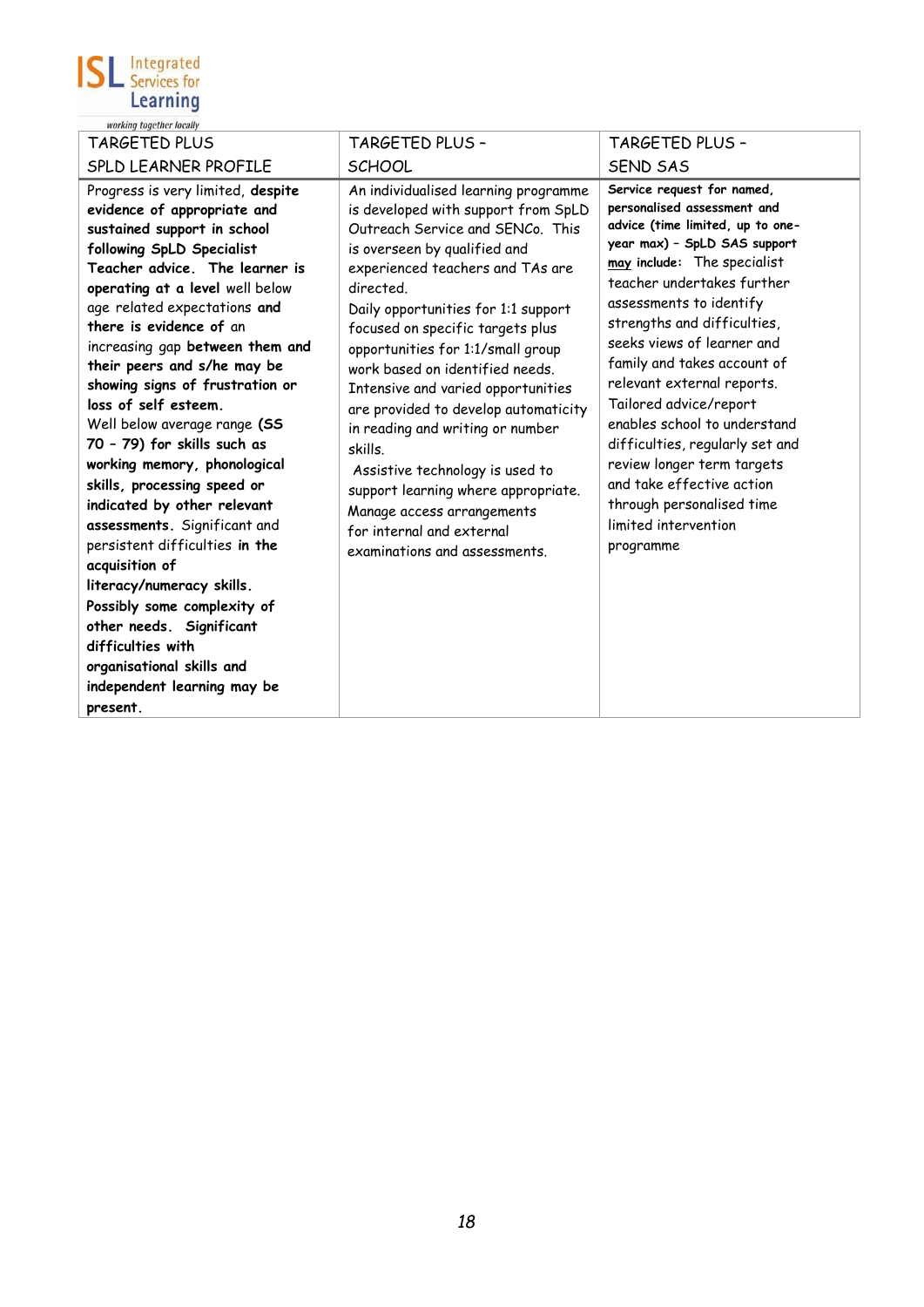

| TARGETED PLUS                                                                                                                                                                                                                                                                                                                                                                                                                                                                                                                                                                                                                                                                                                                                                                                                                   | TARGETED PLUS -                                                                                                                                                                                                                                                                                                                                                                                                                                                                                                                                                                                                                                        | TARGETED PLUS -                                                                                                                                                                                                                                                                                                                                                                                                                                                                                                                                                           |
|---------------------------------------------------------------------------------------------------------------------------------------------------------------------------------------------------------------------------------------------------------------------------------------------------------------------------------------------------------------------------------------------------------------------------------------------------------------------------------------------------------------------------------------------------------------------------------------------------------------------------------------------------------------------------------------------------------------------------------------------------------------------------------------------------------------------------------|--------------------------------------------------------------------------------------------------------------------------------------------------------------------------------------------------------------------------------------------------------------------------------------------------------------------------------------------------------------------------------------------------------------------------------------------------------------------------------------------------------------------------------------------------------------------------------------------------------------------------------------------------------|---------------------------------------------------------------------------------------------------------------------------------------------------------------------------------------------------------------------------------------------------------------------------------------------------------------------------------------------------------------------------------------------------------------------------------------------------------------------------------------------------------------------------------------------------------------------------|
| SPLD LEARNER PROFILE                                                                                                                                                                                                                                                                                                                                                                                                                                                                                                                                                                                                                                                                                                                                                                                                            | <b>SCHOOL</b>                                                                                                                                                                                                                                                                                                                                                                                                                                                                                                                                                                                                                                          | <b>SEND SAS</b>                                                                                                                                                                                                                                                                                                                                                                                                                                                                                                                                                           |
| Progress is very limited, despite<br>evidence of appropriate and<br>sustained support in school<br>following SpLD Specialist<br>Teacher advice. The learner is<br>operating at a level well below<br>age related expectations and<br>there is evidence of an<br>increasing gap between them and<br>their peers and s/he may be<br>showing signs of frustration or<br>loss of self esteem.<br>Well below average range (SS<br>70 - 79) for skills such as<br>working memory, phonological<br>skills, processing speed or<br>indicated by other relevant<br>assessments. Significant and<br>persistent difficulties in the<br>acquisition of<br>literacy/numeracy skills.<br>Possibly some complexity of<br>other needs. Significant<br>difficulties with<br>organisational skills and<br>independent learning may be<br>present. | An individualised learning programme<br>is developed with support from SpLD<br>Outreach Service and SENCo. This<br>is overseen by qualified and<br>experienced teachers and TAs are<br>directed.<br>Daily opportunities for 1:1 support<br>focused on specific targets plus<br>opportunities for 1:1/small group<br>work based on identified needs.<br>Intensive and varied opportunities<br>are provided to develop automaticity<br>in reading and writing or number<br>skills.<br>Assistive technology is used to<br>support learning where appropriate.<br>Manage access arrangements<br>for internal and external<br>examinations and assessments. | Service request for named,<br>personalised assessment and<br>advice (time limited, up to one-<br>year max) - SpLD SAS support<br>may include: The specialist<br>teacher undertakes further<br>assessments to identify<br>strengths and difficulties,<br>seeks views of learner and<br>family and takes account of<br>relevant external reports.<br>Tailored advice/report<br>enables school to understand<br>difficulties, regularly set and<br>review longer term targets<br>and take effective action<br>through personalised time<br>limited intervention<br>programme |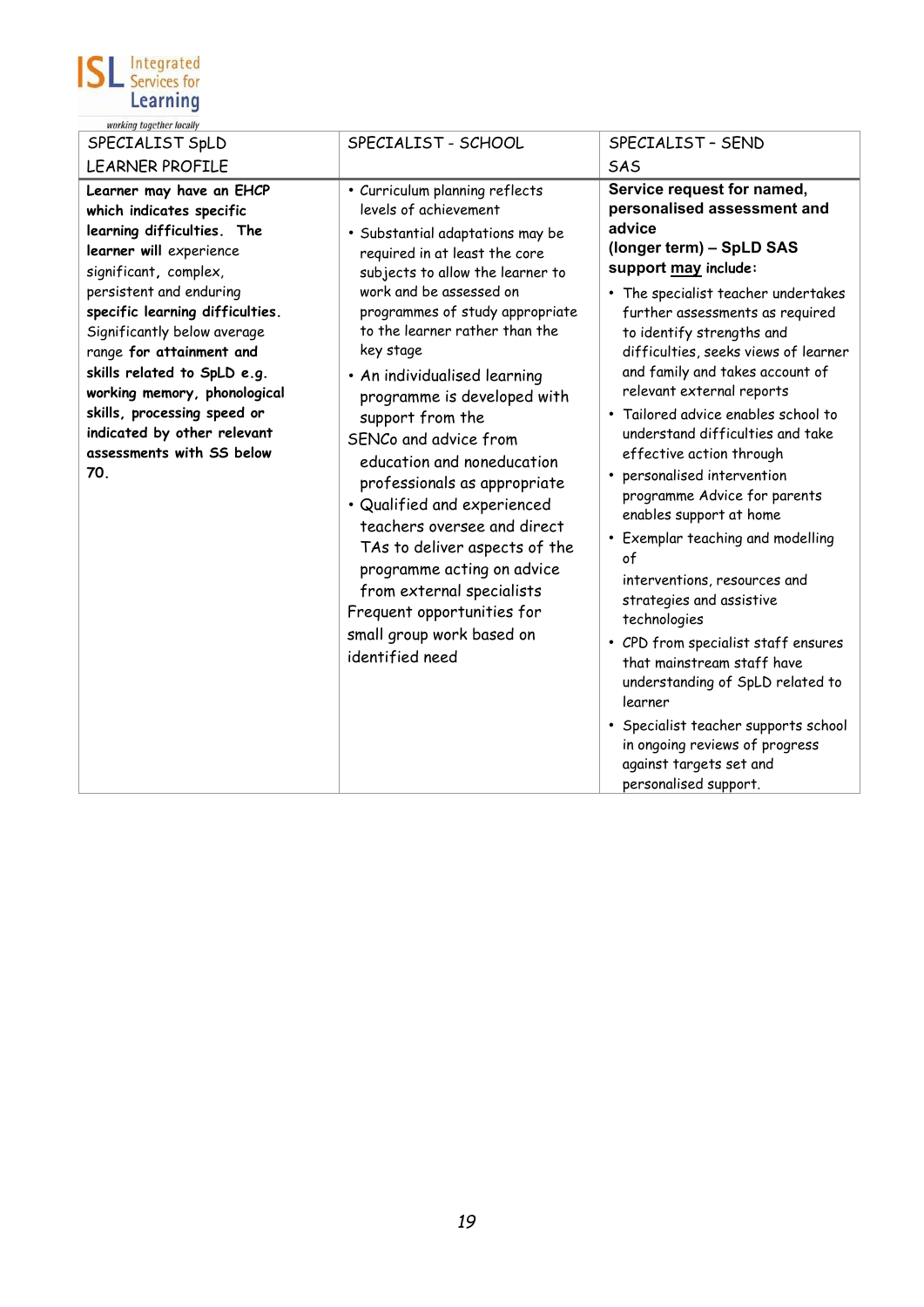

| working together locally                                                                                                                                                                                                                                                                                                                                                                                                         |                                                                                                                                                                                                                                                                                                                                                                                                                                                                                                                                                                                                                                                                                                 |                                                                                                                                                                                                                                                                                                                                                                                                                                                                                                                                                                                                                                                                                                                                                                                                                                                                                                                             |
|----------------------------------------------------------------------------------------------------------------------------------------------------------------------------------------------------------------------------------------------------------------------------------------------------------------------------------------------------------------------------------------------------------------------------------|-------------------------------------------------------------------------------------------------------------------------------------------------------------------------------------------------------------------------------------------------------------------------------------------------------------------------------------------------------------------------------------------------------------------------------------------------------------------------------------------------------------------------------------------------------------------------------------------------------------------------------------------------------------------------------------------------|-----------------------------------------------------------------------------------------------------------------------------------------------------------------------------------------------------------------------------------------------------------------------------------------------------------------------------------------------------------------------------------------------------------------------------------------------------------------------------------------------------------------------------------------------------------------------------------------------------------------------------------------------------------------------------------------------------------------------------------------------------------------------------------------------------------------------------------------------------------------------------------------------------------------------------|
| SPECIALIST SpLD                                                                                                                                                                                                                                                                                                                                                                                                                  | SPECIALIST - SCHOOL                                                                                                                                                                                                                                                                                                                                                                                                                                                                                                                                                                                                                                                                             | SPECIALIST - SEND                                                                                                                                                                                                                                                                                                                                                                                                                                                                                                                                                                                                                                                                                                                                                                                                                                                                                                           |
| <b>LEARNER PROFILE</b>                                                                                                                                                                                                                                                                                                                                                                                                           |                                                                                                                                                                                                                                                                                                                                                                                                                                                                                                                                                                                                                                                                                                 | SAS                                                                                                                                                                                                                                                                                                                                                                                                                                                                                                                                                                                                                                                                                                                                                                                                                                                                                                                         |
| Learner may have an EHCP<br>which indicates specific<br>learning difficulties. The<br>learner will experience<br>significant, complex,<br>persistent and enduring<br>specific learning difficulties.<br>Significantly below average<br>range for attainment and<br>skills related to SpLD e.g.<br>working memory, phonological<br>skills, processing speed or<br>indicated by other relevant<br>assessments with SS below<br>70. | • Curriculum planning reflects<br>levels of achievement<br>· Substantial adaptations may be<br>required in at least the core<br>subjects to allow the learner to<br>work and be assessed on<br>programmes of study appropriate<br>to the learner rather than the<br>key stage<br>• An individualised learning<br>programme is developed with<br>support from the<br>SENCo and advice from<br>education and noneducation<br>professionals as appropriate<br>· Qualified and experienced<br>teachers oversee and direct<br>TAs to deliver aspects of the<br>programme acting on advice<br>from external specialists<br>Frequent opportunities for<br>small group work based on<br>identified need | Service request for named,<br>personalised assessment and<br>advice<br>(longer term) - SpLD SAS<br>support may include:<br>• The specialist teacher undertakes<br>further assessments as required<br>to identify strengths and<br>difficulties, seeks views of learner<br>and family and takes account of<br>relevant external reports<br>• Tailored advice enables school to<br>understand difficulties and take<br>effective action through<br>personalised intervention<br>$\bullet$<br>programme Advice for parents<br>enables support at home<br>• Exemplar teaching and modelling<br>of<br>interventions, resources and<br>strategies and assistive<br>technologies<br>• CPD from specialist staff ensures<br>that mainstream staff have<br>understanding of SpLD related to<br>learner<br>• Specialist teacher supports school<br>in ongoing reviews of progress<br>against targets set and<br>personalised support. |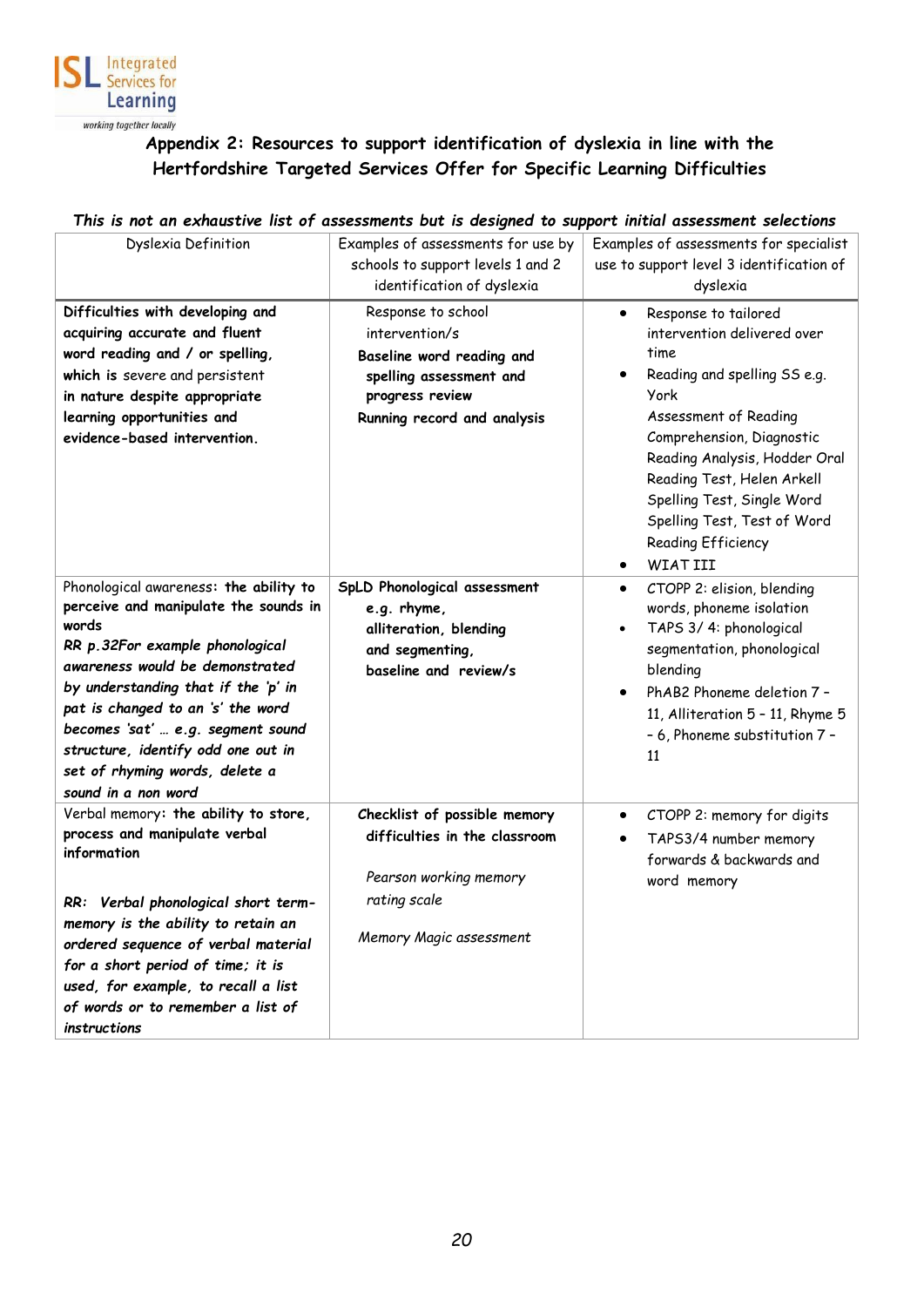

# **Appendix 2: Resources to support identification of dyslexia in line with the Hertfordshire Targeted Services Offer for Specific Learning Difficulties**

#### <span id="page-19-1"></span><span id="page-19-0"></span>*This is not an exhaustive list of assessments but is designed to support initial assessment selections*

| Dyslexia Definition                       | Examples of assessments for use by | Examples of assessments for specialist   |
|-------------------------------------------|------------------------------------|------------------------------------------|
|                                           | schools to support levels 1 and 2  | use to support level 3 identification of |
|                                           | identification of dyslexia         | dyslexia                                 |
| Difficulties with developing and          | Response to school                 | Response to tailored<br>$\bullet$        |
| acquiring accurate and fluent             | intervention/s                     | intervention delivered over              |
| word reading and / or spelling,           | Baseline word reading and          | time                                     |
| which is severe and persistent            | spelling assessment and            | Reading and spelling SS e.g.             |
| in nature despite appropriate             | progress review                    | York                                     |
| learning opportunities and                | Running record and analysis        | Assessment of Reading                    |
| evidence-based intervention.              |                                    | Comprehension, Diagnostic                |
|                                           |                                    | Reading Analysis, Hodder Oral            |
|                                           |                                    | Reading Test, Helen Arkell               |
|                                           |                                    | Spelling Test, Single Word               |
|                                           |                                    | Spelling Test, Test of Word              |
|                                           |                                    | Reading Efficiency                       |
|                                           |                                    | <b>WIAT III</b>                          |
| Phonological awareness: the ability to    | SpLD Phonological assessment       | CTOPP 2: elision, blending<br>$\bullet$  |
| perceive and manipulate the sounds in     | e.g. rhyme,                        | words, phoneme isolation                 |
| words<br>RR p. 32For example phonological | alliteration, blending             | TAPS 3/4: phonological                   |
| awareness would be demonstrated           | and segmenting,                    | segmentation, phonological               |
| by understanding that if the 'p' in       | baseline and review/s              | blending                                 |
| pat is changed to an 's' the word         |                                    | PhAB2 Phoneme deletion 7 -<br>$\bullet$  |
| becomes 'sat'  e.g. segment sound         |                                    | 11, Alliteration 5 - 11, Rhyme 5         |
| structure, identify odd one out in        |                                    | - 6, Phoneme substitution 7 -            |
| set of rhyming words, delete a            |                                    | 11                                       |
| sound in a non word                       |                                    |                                          |
| Verbal memory: the ability to store,      | Checklist of possible memory       | CTOPP 2: memory for digits<br>$\bullet$  |
| process and manipulate verbal             | difficulties in the classroom      | TAPS3/4 number memory<br>$\bullet$       |
| information                               |                                    | forwards & backwards and                 |
|                                           | Pearson working memory             | word memory                              |
| RR: Verbal phonological short term-       | rating scale                       |                                          |
| memory is the ability to retain an        |                                    |                                          |
| ordered sequence of verbal material       | Memory Magic assessment            |                                          |
| for a short period of time; it is         |                                    |                                          |
| used, for example, to recall a list       |                                    |                                          |
| of words or to remember a list of         |                                    |                                          |
| instructions                              |                                    |                                          |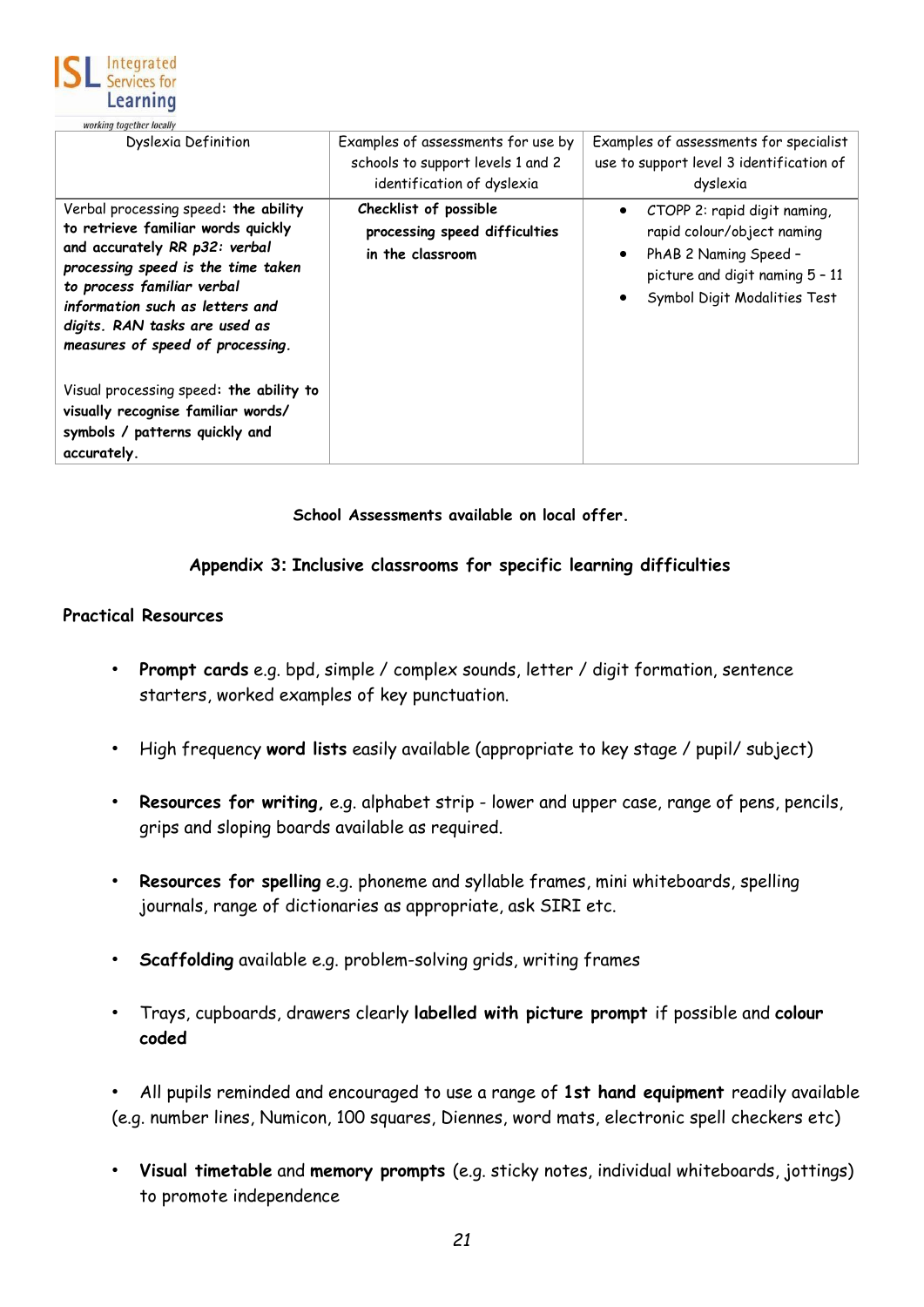

| <i><b>WORKING LOGCUICT IOCANY</b></i>                                                                                                                                                                                                                                                   |                                                                                                       |                                                                                                                                                                     |
|-----------------------------------------------------------------------------------------------------------------------------------------------------------------------------------------------------------------------------------------------------------------------------------------|-------------------------------------------------------------------------------------------------------|---------------------------------------------------------------------------------------------------------------------------------------------------------------------|
| Dyslexia Definition                                                                                                                                                                                                                                                                     | Examples of assessments for use by<br>schools to support levels 1 and 2<br>identification of dyslexia | Examples of assessments for specialist<br>use to support level 3 identification of<br>dyslexia                                                                      |
| Verbal processing speed: the ability<br>to retrieve familiar words quickly<br>and accurately RR p32: verbal<br>processing speed is the time taken<br>to process familiar verbal<br>information such as letters and<br>digits. RAN tasks are used as<br>measures of speed of processing. | Checklist of possible<br>processing speed difficulties<br>in the classroom                            | CTOPP 2: rapid digit naming,<br>$\bullet$<br>rapid colour/object naming<br>PhAB 2 Naming Speed -<br>picture and digit naming 5 - 11<br>Symbol Digit Modalities Test |
| Visual processing speed: the ability to<br>visually recognise familiar words/<br>symbols / patterns quickly and<br>accurately.                                                                                                                                                          |                                                                                                       |                                                                                                                                                                     |

#### **School Assessments available on local offer.**

#### **Appendix 3: Inclusive classrooms for specific learning difficulties**

#### <span id="page-20-1"></span><span id="page-20-0"></span>**Practical Resources**

- **Prompt cards** e.g. bpd, simple / complex sounds, letter / digit formation, sentence starters, worked examples of key punctuation.
- High frequency **word lists** easily available (appropriate to key stage / pupil/ subject)
- **Resources for writing,** e.g. alphabet strip lower and upper case, range of pens, pencils, grips and sloping boards available as required.
- **Resources for spelling** e.g. phoneme and syllable frames, mini whiteboards, spelling journals, range of dictionaries as appropriate, ask SIRI etc.
- **Scaffolding** available e.g. problem-solving grids, writing frames
- Trays, cupboards, drawers clearly **labelled with picture prompt** if possible and **colour coded**

• All pupils reminded and encouraged to use a range of **1st hand equipment** readily available (e.g. number lines, Numicon, 100 squares, Diennes, word mats, electronic spell checkers etc)

• **Visual timetable** and **memory prompts** (e.g. sticky notes, individual whiteboards, jottings) to promote independence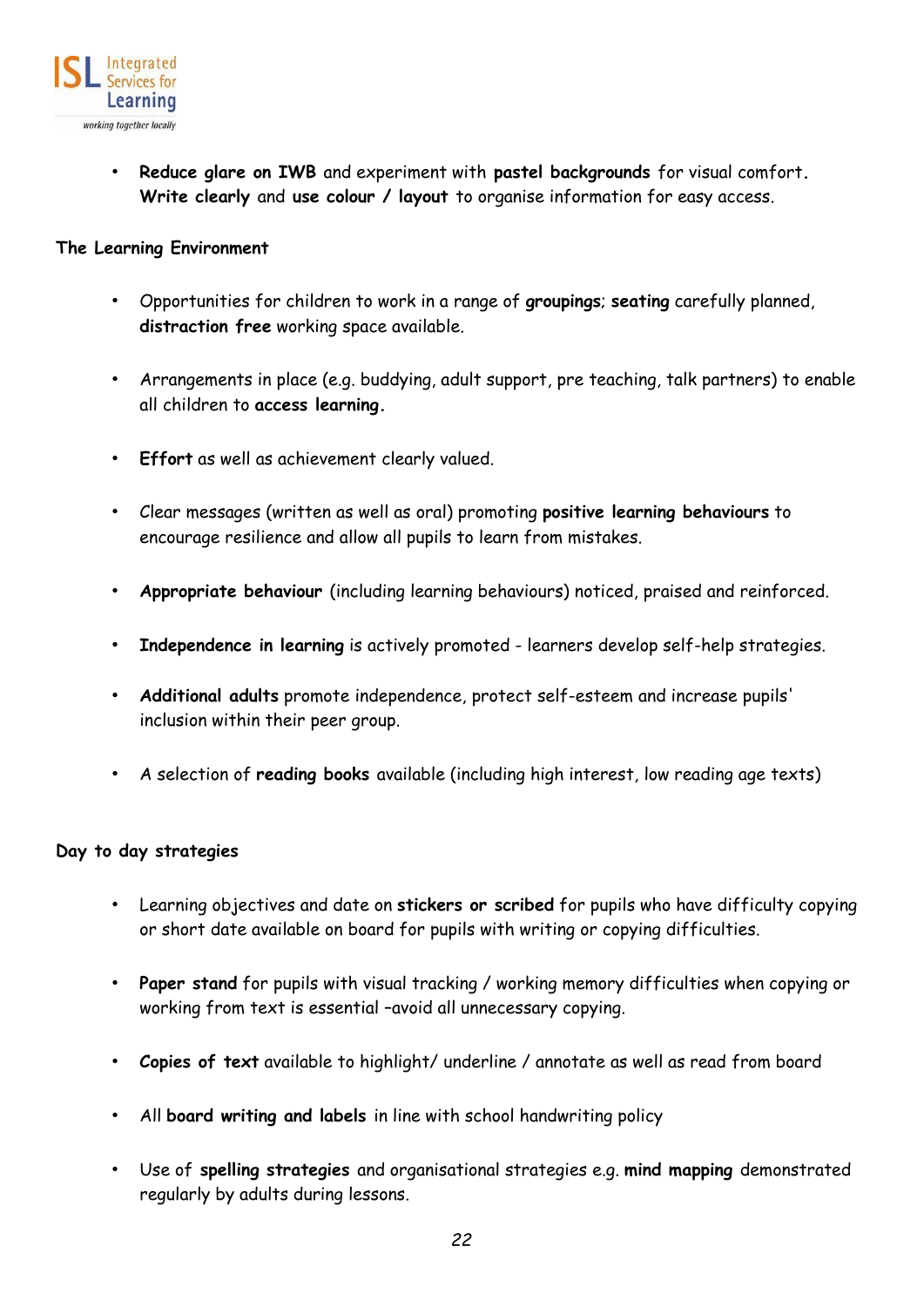

• **Reduce glare on IWB** and experiment with **pastel backgrounds** for visual comfort**. Write clearly** and **use colour / layout** to organise information for easy access.

#### <span id="page-21-0"></span>**The Learning Environment**

- Opportunities for children to work in a range of **groupings**; **seating** carefully planned, **distraction free** working space available.
- Arrangements in place (e.g. buddying, adult support, pre teaching, talk partners) to enable all children to **access learning.**
- **Effort** as well as achievement clearly valued.
- Clear messages (written as well as oral) promoting **positive learning behaviours** to encourage resilience and allow all pupils to learn from mistakes.
- **Appropriate behaviour** (including learning behaviours) noticed, praised and reinforced.
- **Independence in learning** is actively promoted learners develop self-help strategies.
- **Additional adults** promote independence, protect self-esteem and increase pupils' inclusion within their peer group.
- A selection of **reading books** available (including high interest, low reading age texts)

#### <span id="page-21-1"></span>**Day to day strategies**

- Learning objectives and date on **stickers or scribed** for pupils who have difficulty copying or short date available on board for pupils with writing or copying difficulties.
- **Paper stand** for pupils with visual tracking / working memory difficulties when copying or working from text is essential –avoid all unnecessary copying.
- **Copies of text** available to highlight/ underline / annotate as well as read from board
- All **board writing and labels** in line with school handwriting policy
- Use of **spelling strategies** and organisational strategies e.g. **mind mapping** demonstrated regularly by adults during lessons.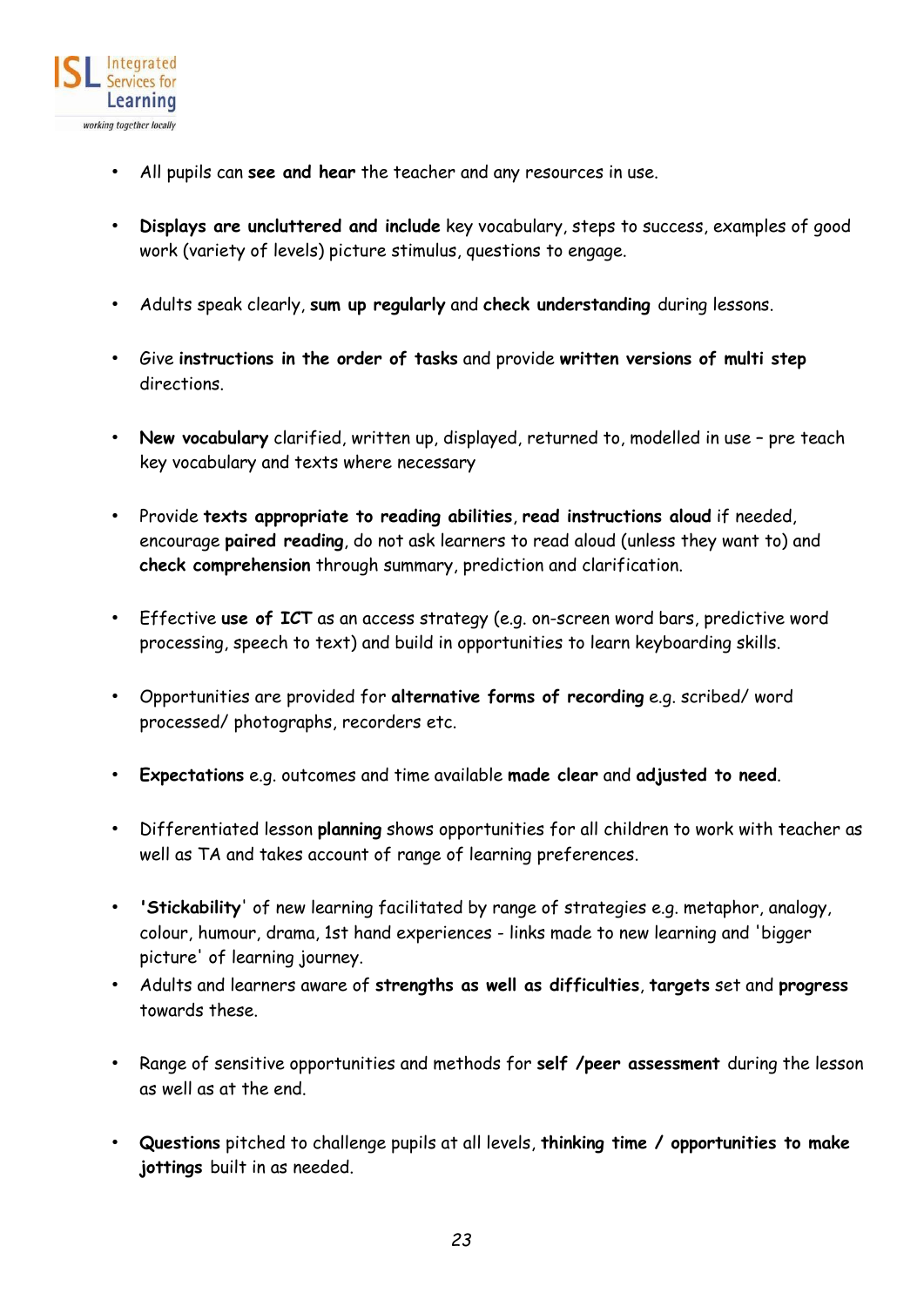

- All pupils can **see and hear** the teacher and any resources in use.
- **Displays are uncluttered and include** key vocabulary, steps to success, examples of good work (variety of levels) picture stimulus, questions to engage.
- Adults speak clearly, **sum up regularly** and **check understanding** during lessons.
- Give **instructions in the order of tasks** and provide **written versions of multi step** directions.
- **New vocabulary** clarified, written up, displayed, returned to, modelled in use pre teach key vocabulary and texts where necessary
- Provide **texts appropriate to reading abilities**, **read instructions aloud** if needed, encourage **paired reading**, do not ask learners to read aloud (unless they want to) and **check comprehension** through summary, prediction and clarification.
- Effective **use of ICT** as an access strategy (e.g. on-screen word bars, predictive word processing, speech to text) and build in opportunities to learn keyboarding skills.
- Opportunities are provided for **alternative forms of recording** e.g. scribed/ word processed/ photographs, recorders etc.
- **Expectations** e.g. outcomes and time available **made clear** and **adjusted to need**.
- Differentiated lesson **planning** shows opportunities for all children to work with teacher as well as TA and takes account of range of learning preferences.
- **'Stickability**' of new learning facilitated by range of strategies e.g. metaphor, analogy, colour, humour, drama, 1st hand experiences - links made to new learning and 'bigger picture' of learning journey.
- Adults and learners aware of **strengths as well as difficulties**, **targets** set and **progress**  towards these.
- Range of sensitive opportunities and methods for **self /peer assessment** during the lesson as well as at the end.
- **Questions** pitched to challenge pupils at all levels, **thinking time / opportunities to make jottings** built in as needed.